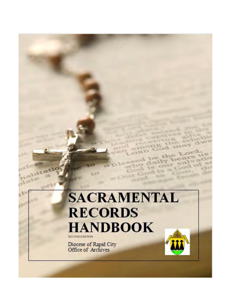# SACRAMENTAL **RECORDS HANDBOOK SECOND EDITION**

Diocese of Rapid City<br>Office of Archives

 $x<sup>2</sup>$ 

abitatio

olate

U.



1250 od may

the

us.

 $-0.7$ 

CILI

**William** 

**ALLEN** 

**EMIL** 

w

OF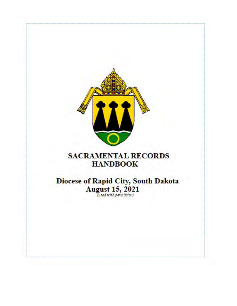

# **SACRAMENTAL RECORDS HANDBOOK**

Diocese of Rapid City, South Dakota<br>August 15, 2021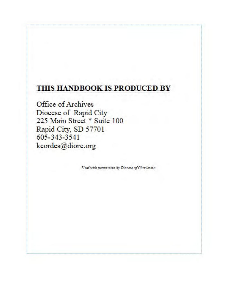# THIS HANDBOOK IS PRODUCED BY

Office of Archives Diocese of Rapid City<br>225 Main Street \* Suite 100 Rapid City, SD 57701 605-343-3541 kcordes@diorc.org

Used with permission by Diocese of Charleston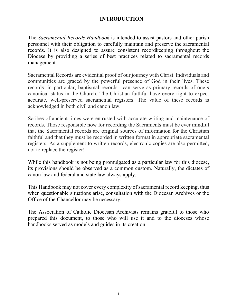### **INTRODUCTION**

The *Sacramental Records Handbook* is intended to assist pastors and other parish personnel with their obligation to carefully maintain and preserve the sacramental records. It is also designed to assure consistent recordkeeping throughout the Diocese by providing a series of best practices related to sacramental records management.

Sacramental Records are evidential proof of our journey with Christ. Individuals and communities are graced by the powerful presence of God in their lives. These records--in particular, baptismal records---can serve as primary records of one's canonical status in the Church. The Christian faithful have every right to expect accurate, well-preserved sacramental registers. The value of these records is acknowledged in both civil and canon law.

Scribes of ancient times were entrusted with accurate writing and maintenance of records. Those responsible now for recording the Sacraments must be ever mindful that the Sacramental records are original sources of information for the Christian faithful and that they must be recorded in written format in appropriate sacramental registers. As a supplement to written records, electronic copies are also permitted, not to replace the register!

While this handbook is not being promulgated as a particular law for this diocese, its provisions should be observed as a common custom. Naturally, the dictates of canon law and federal and state law always apply.

This Handbook may not cover every complexity of sacramental record keeping, thus when questionable situations arise, consultation with the Diocesan Archives or the Office of the Chancellor may be necessary.

<span id="page-3-0"></span>The Association of Catholic Diocesan Archivists remains grateful to those who prepared this document, to those who will use it and to the dioceses whose handbooks served as models and guides in its creation.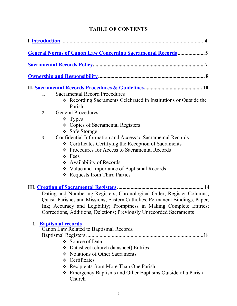# **TABLE OF CONTENTS**

| General Norms of Canon Law Concerning Sacramental Records5                                                                                                                                                                                                                                           |
|------------------------------------------------------------------------------------------------------------------------------------------------------------------------------------------------------------------------------------------------------------------------------------------------------|
|                                                                                                                                                                                                                                                                                                      |
|                                                                                                                                                                                                                                                                                                      |
|                                                                                                                                                                                                                                                                                                      |
| <b>Sacramental Record Procedures</b><br>1.                                                                                                                                                                                                                                                           |
| ❖ Recording Sacraments Celebrated in Institutions or Outside the<br>Parish                                                                                                                                                                                                                           |
| <b>General Procedures</b><br>2.                                                                                                                                                                                                                                                                      |
| $\div$ Types                                                                                                                                                                                                                                                                                         |
| ❖ Copies of Sacramental Registers                                                                                                                                                                                                                                                                    |
| ❖ Safe Storage                                                                                                                                                                                                                                                                                       |
| Confidential Information and Access to Sacramental Records<br>3.                                                                                                                                                                                                                                     |
| ❖ Certificates Certifying the Reception of Sacraments                                                                                                                                                                                                                                                |
| ❖ Procedures for Access to Sacramental Records                                                                                                                                                                                                                                                       |
| $\div$ Fees                                                                                                                                                                                                                                                                                          |
| ❖ Availability of Records                                                                                                                                                                                                                                                                            |
| ❖ Value and Importance of Baptismal Records                                                                                                                                                                                                                                                          |
| * Requests from Third Parties                                                                                                                                                                                                                                                                        |
| Dating and Numbering Registers; Chronological Order; Register Columns;<br>Quasi- Parishes and Missions; Eastern Catholics; Permanent Bindings, Paper,<br>Ink; Accuracy and Legibility; Promptness in Making Complete Entries;<br>Corrections, Additions, Deletions; Previously Unrecorded Sacraments |
| 1. <b>Baptismal records</b><br>Canon Law Related to Baptismal Records                                                                                                                                                                                                                                |
|                                                                                                                                                                                                                                                                                                      |
| $\div$ Source of Data                                                                                                                                                                                                                                                                                |
| Datasheet (church datasheet) Entries                                                                                                                                                                                                                                                                 |
| Notations of Other Sacraments                                                                                                                                                                                                                                                                        |
| ❖ Certificates                                                                                                                                                                                                                                                                                       |
| Recipients from More Than One Parish                                                                                                                                                                                                                                                                 |
| Emergency Baptisms and Other Baptisms Outside of a Parish<br>Church                                                                                                                                                                                                                                  |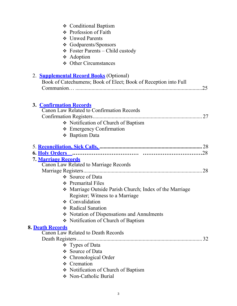| ❖ Conditional Baptism<br>❖ Profession of Faith<br>❖ Unwed Parents<br>❖ Godparents/Sponsors<br>$\div$ Foster Parents – Child custody<br>❖ Adoption<br>❖ Other Circumstances                                                        |  |
|-----------------------------------------------------------------------------------------------------------------------------------------------------------------------------------------------------------------------------------|--|
| 2. <b>Supplemental Record Books</b> (Optional)<br>Book of Catechumens; Book of Elect; Book of Reception into Full                                                                                                                 |  |
| <b>3. Confirmation Records</b><br>Canon Law Related to Confirmation Records<br>Notification of Church of Baptism<br>$\div$ Emergency Confirmation<br>❖ Baptism Data                                                               |  |
| 7. Marriage Records<br>Canon Law Related to Marriage Records<br>❖ Source of Data<br>❖ Premarital Files                                                                                                                            |  |
| • Marriage Outside Parish Church; Index of the Marriage<br>Register; Witness to a Marriage<br>❖ Convalidation<br>❖ Radical Sanation<br>Notation of Dispensations and Annulments<br>Notification of Church of Baptism              |  |
| <b>8. Death Records</b><br><b>Canon Law Related to Death Records</b><br>32<br>$\div$ Types of Data<br>❖ Source of Data<br>❖ Chronological Order<br>$\div$ Cremation<br>• Notification of Church of Baptism<br>Non-Catholic Burial |  |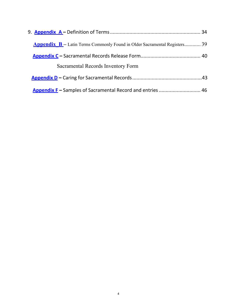| <b>Appendix B</b> – Latin Terms Commonly Found in Older Sacramental Registers 39 |  |
|----------------------------------------------------------------------------------|--|
|                                                                                  |  |
| Sacramental Records Inventory Form                                               |  |
|                                                                                  |  |
| <b>Appendix F</b> – Samples of Sacramental Record and entries  46                |  |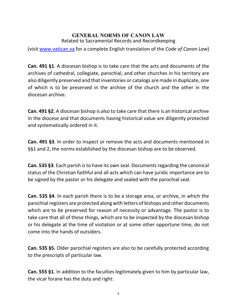#### **GENERAL NORMS OF CANON LAW** Related to Sacramental Records and Recordkeeping

<span id="page-7-0"></span>(visit [www.vatican.va](http://www.vatican.va/) for a complete English translation of the *Code of Canon Law*)

**Can. 491 §1**. A diocesan bishop is to take care that the acts and documents of the archives of cathedral, collegiate, parochial, and other churches in his territory are also diligently preserved and that inventories or catalogs are made in duplicate, one of which is to be preserved in the archive of the church and the other in the diocesan archive.

**Can. 491 §2.** A diocesan bishop is also to take care that there is an historical archive in the diocese and that documents having historical value are diligently protected and systematically ordered in it.

**Can. 491 §3**. In order to inspect or remove the acts and documents mentioned in §§1 and 2, the norms established by the diocesan bishop are to be observed.

**Can. 535 §3**. Each parish is to have its own seal. Documents regarding the canonical status of the Christian faithful and all acts which can have juridic importance are to be signed by the pastor or his delegate and sealed with the parochial seal.

**Can. 535 §4**. In each parish there is to be a storage area, or archive, in which the parochial registers are protected along with letters of bishops and other documents which are to be preserved for reason of necessity or advantage. The pastor is to take care that all of these things, which are to be inspected by the diocesan bishop or his delegate at the time of visitation or at some other opportune time, do not come into the hands of outsiders.

**Can. 535 §5.** Older parochial registers are also to be carefully protected according to the prescripts of particular law.

**Can. 555 §1**. In addition to the faculties legitimately given to him by particular law, the vicar forane has the duty and right: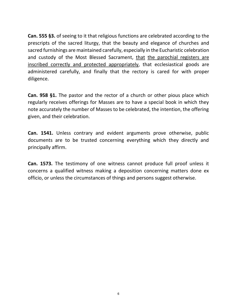**Can. 555 §3.** of seeing to it that religious functions are celebrated according to the prescripts of the sacred liturgy, that the beauty and elegance of churches and sacred furnishings are maintained carefully, especially in the Eucharistic celebration and custody of the Most Blessed Sacrament, that the parochial registers are inscribed correctly and protected appropriately, that ecclesiastical goods are administered carefully, and finally that the rectory is cared for with proper diligence.

**Can. 958 §1.** The pastor and the rector of a church or other pious place which regularly receives offerings for Masses are to have a special book in which they note accurately the number of Masses to be celebrated, the intention, the offering given, and their celebration.

**Can. 1541.** Unless contrary and evident arguments prove otherwise, public documents are to be trusted concerning everything which they directly and principally affirm.

**Can. 1573.** The testimony of one witness cannot produce full proof unless it concerns a qualified witness making a deposition concerning matters done ex officio, or unless the circumstances of things and persons suggest otherwise.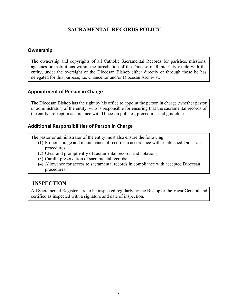# **SACRAMENTAL RECORDS POLICY**

#### <span id="page-9-0"></span>**Ownership**

The ownership and copyrights of all Catholic Sacramental Records for parishes, missions, agencies or institutions within the jurisdiction of the Diocese of Rapid City reside with the entity, under the oversight of the Diocesan Bishop either directly or through those he has delegated for this purpose; i.e. Chancellor and/or Diocesan Archivist**.** 

#### **Appointment of Person in Charge**

The Diocesan Bishop has the right by his office to appoint the person in charge (whether pastor or administrator) of the entity, who is responsible for ensuring that the sacramental records of the entity are kept in accordance with Diocesan policies, procedures and guidelines.

#### **Additional Responsibilities of Person in Charge**

The pastor or administrator of the entity must also ensure the following:

- (1) Proper storage and maintenance of records in accordance with established Diocesan procedures;
- (2) Clear and prompt entry of sacramental records and notations;
- (3) Careful preservation of sacramental records;
- (4) Allowance for access to sacramental records in compliance with accepted Diocesan procedures.

#### **INSPECTION**

All Sacramental Registers are to be inspected regularly by the Bishop or the Vicar General and certified as inspected with a signature and date of inspection.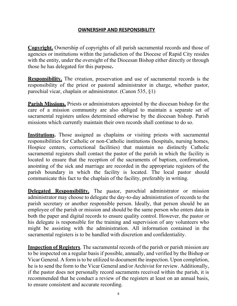#### **OWNERSHIP AND RESPONSIBILITY**

**Copyright.** Ownership of copyrights of all parish sacramental records and those of agencies or institutions within the jurisdiction of the Diocese of Rapid City resides with the entity, under the oversight of the Diocesan Bishop either directly or through those he has delegated for this purpose**.** 

**Responsibility.** The creation, preservation and use of sacramental records is the responsibility of the priest or pastoral administrator in charge, whether pastor, parochial vicar, chaplain or administrator. (Canon 535, §1)

**Parish Missions.** Priests or administrators appointed by the diocesan bishop for the care of a mission community are also obliged to maintain a separate set of sacramental registers unless determined otherwise by the diocesan bishop. Parish missions which currently maintain their own records shall continue to do so.

**Institutions.** Those assigned as chaplains or visiting priests with sacramental responsibilities for Catholic or non-Catholic institutions (hospitals, nursing homes, Hospice centers, correctional facilities) that maintain no distinctly Catholic sacramental registers shall contact the pastor of the parish in which the facility is located to ensure that the reception of the sacraments of baptism, confirmation, anointing of the sick and marriage are recorded in the appropriate registers of the parish boundary in which the facility is located. The local pastor should communicate this fact to the chaplain of the facility, preferably in writing.

**Delegated Responsibility.** The pastor, parochial administrator or mission administrator may choose to delegate the day-to-day administration of records to the parish secretary or another responsible person. Ideally, that person should be an employee of the parish or mission and should be the same person who enters data in both the paper and digital records to ensure quality control. However, the pastor or his delegate is responsible for the training and supervision of any volunteers who might be assisting with the administration. All information contained in the sacramental registers is to be handled with discretion and confidentiality.

**Inspection of Registers**. The sacramental records of the parish or parish mission are to be inspected on a regular basis if possible, annually, and verified by the Bishop or Vicar General. A form is to be utilized to document the inspection. Upon completion, he is to send the form to the Vicar General and/or Archivist for review. Additionally, if the pastor does not personally record sacraments received within the parish, it is recommended that he conduct a review of the registers at least on an annual basis, to ensure consistent and accurate recording.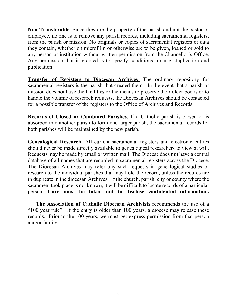**Non-Transferable.** Since they are the property of the parish and not the pastor or employee, no one is to remove any parish records, including sacramental registers, from the parish or mission. No originals or copies of sacramental registers or data they contain, whether on microfilm or otherwise are to be given, loaned or sold to any person or institution without written permission from the Chancellor's Office. Any permission that is granted is to specify conditions for use, duplication and publication.

**Transfer of Registers to Diocesan Archives**. The ordinary repository for sacramental registers is the parish that created them. In the event that a parish or mission does not have the facilities or the means to preserve their older books or to handle the volume of research requests, the Diocesan Archives should be contacted for a possible transfer of the registers to the Office of Archives and Records.

**Records of Closed or Combined Parishes**. If a Catholic parish is closed or is absorbed into another parish to form one larger parish, the sacramental records for both parishes will be maintained by the new parish.

**Genealogical Research**. All current sacramental registers and electronic entries should never be made directly available to genealogical researchers to view at will. Requests may be made by email or written mail. The Diocese does **not** have a central database of all names that are recorded in sacramental registers across the Diocese. The Diocesan Archives may refer any such requests in genealogical studies or research to the individual parishes that may hold the record, unless the records are in duplicate in the diocesan Archives. If the church, parish, city or county where the sacrament took place is not known, it will be difficult to locate records of a particular person. **Care must be taken not to disclose confidential information.** 

 **The Association of Catholic Diocesan Archivists** recommends the use of a "100 year rule". If the entry is older than 100 years, a diocese may release these records. Prior to the 100 years, we must get express permission from that person and/or family.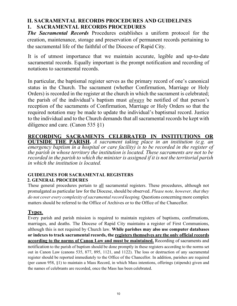# <span id="page-12-0"></span>**II. SACRAMENTAL RECORDS PROCEDURES AND GUIDELINES 1. SACRAMENTAL RECORDS PROCEDURES**

*The Sacramental Records* Procedures establishes a uniform protocol for the creation, maintenance, storage and preservation of permanent records pertaining to the sacramental life of the faithful of the Diocese of Rapid City.

It is of utmost importance that we maintain accurate, legible and up-to-date sacramental records. Equally important is the prompt notification and recording of notations to sacramental records.

In particular, the baptismal register serves as the primary record of one's canonical status in the Church. The sacrament (whether Confirmation, Marriage or Holy Orders) is recorded in the register at the church in which the sacrament is celebrated; the parish of the individual's baptism must *always* be notified of that person's reception of the sacraments of Confirmation, Marriage or Holy Orders so that the required notation may be made to update the individual's baptismal record. Justice to the individual and to the Church demands that all sacramental records be kept with diligence and care. (Canon 535 §1)

# **RECORDING SACRAMENTS CELEBRATED IN INSTITUTIONS OR**

**OUTSIDE THE PARISH.** *A sacrament taking place in an institution (e.g. an emergency baptism in a hospital or care facility) is to be recorded in the register of the parish in whose territory the institution is located. These sacraments are not to be recorded in the parish to which the minister is assigned if it is not the territorial parish in which the institution is located.*

#### **GUIDELINES FOR SACRAMENTAL REGISTERS 2. GENERAL PROCEDURES**

These general procedures pertain to all sacramental registers. These procedures, although not promulgated as particular law for the Diocese, should be observed. *Please note, however, that they do not cover every complexity of sacramental record keeping.* Questions concerning more complex matters should be referred to the Office of Archives or to the Office of the Chancellor.

# **Types**.

Every parish and parish mission is required to maintain registers of baptisms, confirmations, marriages, and deaths. The Diocese of Rapid City maintains a register of First Communions, although this is not required by Church law. **While parishes may also use computer databases or indexes to track sacramental records, the registers themselves are the only official records according to the norms of Canon Law and must be maintained.** Recording of sacraments and notification to the parish of baptism should be done promptly in these registers according to the norms set out in Canon Law (canons 535, 877, 895, 1121, and 1122). The loss or destruction of any sacramental register should be reported immediately to the Office of the Chancellor. In addition, parishes are required (per canon 958, §1) to maintain a Mass Record, in which Mass intentions, offerings (stipends) given and the names of celebrants are recorded, once the Mass has been celebrated.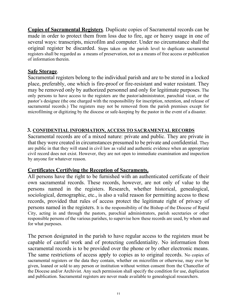**Copies of Sacramental Registers**. Duplicate copies of Sacramental records can be made in order to protect them from loss due to fire, age or heavy usage in one of several ways: transcripts, microfilm and computer. Under no circumstance shall the original register be discarded. Steps taken on the parish level to duplicate sacramental registers shall be regarded as a means of preservation, not as a means of free access or publication of information therein.

#### **Safe Storage**.

Sacramental registers belong to the individual parish and are to be stored in a locked place, preferably, one which is fire-proof or fire-resistant and water resistant. They may be removed only by authorized personnel and only for legitimate purposes. The only persons to have access to the registers are the pastor/administrator, parochial vicar, or the pastor's designee (the one charged with the responsibility for inscription, retention, and release of sacramental records.) The registers may not be removed from the parish premises except for microfilming or digitizing by the diocese or safe-keeping by the pastor in the event of a disaster.

# **3. CONFIDENTIAL INFORMATION, ACCESS TO SACRAMENTAL RECORDS**

Sacramental records are of a mixed nature: private and public. They are private in that they were created in circumstances presumed to be private and confidential. They are public in that they will stand in civil law as valid and authentic evidence when an appropriate civil record does not exist. However, they are not open to immediate examination and inspection by anyone for whatever reason.

# **Certificates Certifying the Reception of Sacraments.**

All persons have the right to be furnished with an authenticated certificate of their own sacramental records. These records, however, are not only of value to the persons named in the registers. Research, whether historical, genealogical, sociological, demographic, etc., is also a valid reason for permitting access to these records, provided that rules of access protect the legitimate right of privacy of persons named in the registers. It is the responsibility of the Bishop of the Diocese of Rapid City, acting in and through the pastors, parochial administrators, parish secretaries or other responsible persons of the various parishes, to supervise how these records are used, by whom and for what purposes.

The person designated in the parish to have regular access to the registers must be capable of careful work and of protecting confidentiality. No information from sacramental records is to be provided over the phone or by other electronic means. The same restrictions of access apply to copies as to original records. No copies of sacramental registers or the data they contain, whether on microfilm or otherwise, may ever be given, loaned or sold to any person or institution without written consent from the Chancellor of the Diocese and/or Archivist. Any such permission shall specify the condition for use, duplication and publication. Sacramental registers are never made available to genealogical researchers.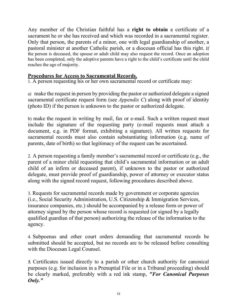Any member of the Christian faithful has a **right to obtain** a certificate of a sacrament he or she has received and which was recorded in a sacramental register. Only that person, the parents of a minor, one with legal guardianship of another, a pastoral minister at another Catholic parish, or a diocesan official has this right. If the person is deceased, the spouse or adult child may also request the record. Once an adoption has been completed, only the adoptive parents have a right to the child's certificate until the child reaches the age of majority.

#### **Procedures for Access to Sacramental Records.**

1. A person requesting his or her own sacramental record or certificate may:

a) make the request in person by providing the pastor or authorized delegate a signed sacramental certificate request form (see *Appendix C*) along with proof of identity (photo ID) if the person is unknown to the pastor or authorized delegate.

b) make the request in writing by mail, fax or e-mail. Such a written request must include the signature of the requesting party (e-mail requests must attach a document, e.g. in PDF format, exhibiting a signature). All written requests for sacramental records must also contain substantiating information (e.g. name of parents, date of birth) so that legitimacy of the request can be ascertained.

2. A person requesting a family member's sacramental record or certificate (e.g., the parent of a minor child requesting that child's sacramental information or an adult child of an infirm or deceased parent), if unknown to the pastor or authorized delegate, must provide proof of guardianship, power of attorney or executor status along with the signed record request, following procedures described above.

3. Requests for sacramental records made by government or corporate agencies (i.e., Social Security Administration, U.S. Citizenship & Immigration Services, insurance companies, etc.) should be accompanied by a release form or power of attorney signed by the person whose record is requested (or signed by a legally qualified guardian of that person) authorizing the release of the information to the agency.

4. Subpoenas and other court orders demanding that sacramental records be submitted should be accepted, but no records are to be released before consulting with the Diocesan Legal Counsel.

*5.* Certificates issued directly to a parish or other church authority for canonical purposes (e.g. for inclusion in a Prenuptial File or in a Tribunal proceeding) should be clearly marked, preferably with a red ink stamp, *"For Canonical Purposes Only."*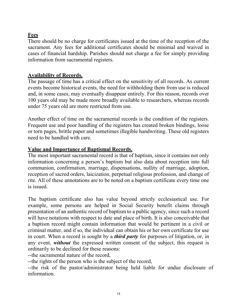# **Fees**

There should be no charge for certificates issued at the time of the reception of the sacrament. Any fees for additional certificates should be minimal and waived in cases of financial hardship. Parishes should not charge a fee for simply providing information from sacramental registers.

#### **Availability of Records.**

The passage of time has a critical effect on the sensitivity of all records. As current events become historical events, the need for withholding them from use is reduced and, in some cases, may eventually disappear entirely. For this reason, records over 100 years old may be made more broadly available to researchers, whereas records under 75 years old are more restricted from use.

Another effect of time on the sacramental records is the condition of the registers. Frequent use and poor handling of the registers has created broken bindings, loose or torn pages, brittle paper and sometimes illegible handwriting. These old registers need to be handled with care.

#### **Value and Importance of Baptismal Records.**

The most important sacramental record is that of baptism, since it contains not only information concerning a person's baptism but also data about reception into full communion, confirmation, marriage, dispensations, nullity of marriage, adoption, reception of sacred orders, laicization, perpetual religious profession, and change of rite. All of these annotations are to be noted on a baptism certificate every time one is issued.

The baptism certificate also has value beyond strictly ecclesiastical use. For example, some persons are helped in Social Security benefit claims through presentation of an authentic record of baptism to a public agency, since such a record will have notations with respect to date and place of birth. It is also conceivable that a baptism record might contain information that would be pertinent in a civil or criminal matter, and if so, the individual can obtain his or her own certificate for use in court. When a record is sought by a *third party* for purposes of litigation, or, in any event, *without* the expressed written consent of the subject, this request is ordinarily to be declined for these reasons:

--the sacramental nature of the record,

--the rights of the person who is the subject of the record,

--the risk of the pastor/administrator being held liable for undue disclosure of information.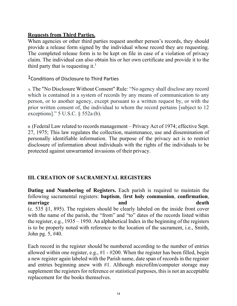#### **Requests from Third Parties.**

When agencies or other third parties request another person's records, they should provide a release form signed by the individual whose record they are requesting. The completed release form is to be kept on file in case of a violation of privacy claim. The individual can also obtain his or her own certificate and provide it to the third party that is requesting it.<sup>1</sup>

<sup>1</sup> Conditions of Disclosure to Third Parties

A. The "No Disclosure Without Consent" Rule: "No agency shall disclose any record which is contained in a system of records by any means of communication to any person, or to another agency, except pursuant to a written request by, or with the prior written consent of, the individual to whom the record pertains [subject to 12 exceptions]." 5 U.S.C. § 552a (b).

B. (Federal Law related to records management – Privacy Act of 1974; effective Sept. 27, 1975; This law regulates the collection, maintenance, use and dissemination of personally identifiable information. The purpose of the privacy act is to restrict disclosure of information about individuals with the rights of the individuals to be protected against unwarranted invasions of their privacy.

# <span id="page-16-0"></span>**III. CREATION OF SACRAMENTAL REGISTERS**

**Dating and Numbering of Registers.** Each parish is required to maintain the following sacramental registers: **baptism**, f**irst holy communion**, **confirmation**, **marriage** death **and and** death (c. 535 §1, 895). The registers should be clearly labeled on the inside front cover with the name of the parish, the "from" and "to" dates of the records listed within the register, e.g., 1935 – 1950. An alphabetical Index in the beginning of the registers is to be properly noted with reference to the location of the sacrament, i.e., Smith, John pg. 5, #40.

Each record in the register should be numbered according to the number of entries allowed within one register, e.g., #1 - #200. When the register has been filled, begin a new register again labeled with the Parish name, date span of records in the register and entries beginning anew with #1. Although microfilm/computer storage may supplement the registers for reference or statistical purposes, this is not an acceptable replacement for the books themselves.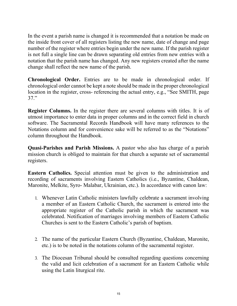In the event a parish name is changed it is recommended that a notation be made on the inside front cover of all registers listing the new name, date of change and page number of the register where entries begin under the new name. If the parish register is not full a single line can be drawn separating old entries from new entries with a notation that the parish name has changed. Any new registers created after the name change shall reflect the new name of the parish.

**Chronological Order.** Entries are to be made in chronological order. If chronological order cannot be kept a note should be made in the proper chronological location in the register, cross- referencing the actual entry, e.g., "See SMITH, page 37."

**Register Columns.** In the register there are several columns with titles. It is of utmost importance to enter data in proper columns and in the correct field in church software. The Sacramental Records Handbook will have many references to the Notations column and for convenience sake will be referred to as the "Notations" column throughout the Handbook.

**Quasi-Parishes and Parish Missions.** A pastor who also has charge of a parish mission church is obliged to maintain for that church a separate set of sacramental registers.

**Eastern Catholics.** Special attention must be given to the administration and recording of sacraments involving Eastern Catholics (i.e., Byzantine, Chaldean, Maronite, Melkite, Syro- Malabar, Ukrainian, etc.). In accordance with canon law:

- 1. Whenever Latin Catholic ministers lawfully celebrate a sacrament involving a member of an Eastern Catholic Church, the sacrament is entered into the appropriate register of the Catholic parish in which the sacrament was celebrated. Notification of marriages involving members of Eastern Catholic Churches is sent to the Eastern Catholic's parish of baptism.
- 2. The name of the particular Eastern Church (Byzantine, Chaldean, Maronite, etc.) is to be noted in the notations column of the sacramental register.
- 3. The Diocesan Tribunal should be consulted regarding questions concerning the valid and licit celebration of a sacrament for an Eastern Catholic while using the Latin liturgical rite.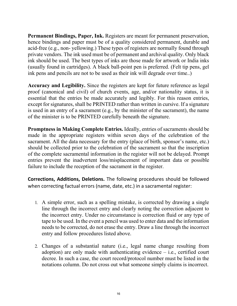**Permanent Bindings, Paper, Ink.** Registers are meant for permanent preservation, hence bindings and paper must be of a quality considered permanent, durable and acid-free (e.g., non- yellowing.) These types of registers are normally found through private vendors. The ink used must be of permanent and archival quality. Only black ink should be used. The best types of inks are those made for artwork or India inks (usually found in cartridges). A black ball-point pen is preferred. (Felt tip pens, gel ink pens and pencils are not to be used as their ink will degrade over time..)

**Accuracy and Legibility.** Since the registers are kept for future reference as legal proof (canonical and civil) of church events, age, and/or nationality status, it is essential that the entries be made accurately and legibly. For this reason entries, except for signatures, shall be PRINTED rather than written in cursive. If a signature is used in an entry of a sacrament (e.g., by the minister of the sacrament), the name of the minister is to be PRINTED carefully beneath the signature.

**Promptness in Making Complete Entries.** Ideally, entries of sacraments should be made in the appropriate registers within seven days of the celebration of the sacrament. All the data necessary for the entry (place of birth, sponsor's name, etc.) should be collected prior to the celebration of the sacrament so that the inscription of the complete sacramental information in the register will not be delayed. Prompt entries prevent the inadvertent loss/misplacement of important data or possible failure to include the reception of the sacrament in the register.

**Corrections, Additions, Deletions.** The following procedures should be followed when correcting factual errors (name, date, etc.) in a sacramental register:

- 1. A simple error, such as a spelling mistake, is corrected by drawing a single line through the incorrect entry and clearly noting the correction adjacent to the incorrect entry. Under no circumstance is correction fluid or any type of tape to be used. In the event a pencil was used to enter data and the information needs to be corrected, do not erase the entry. Draw a line through the incorrect entry and follow procedures listed above.
- 2. Changes of a substantial nature (i.e., legal name change resulting from adoption) are only made with authenticating evidence – i.e., certified court decree. In such a case, the court record/protocol number must be listed in the notations column. Do not cross out what someone simply claims is incorrect.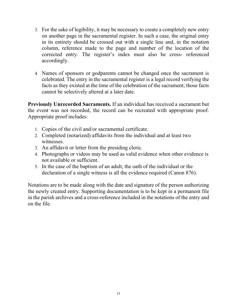- 3. For the sake of legibility, it may be necessary to create a completely new entry on another page in the sacramental register. In such a case, the original entry in its entirety should be crossed out with a single line and, in the notation column, reference made to the page and number of the location of the corrected entry. The register's index must also be cross- referenced accordingly.
- 4. Names of sponsors or godparents cannot be changed once the sacrament is celebrated. The entry in the sacramental register is a legal record verifying the facts as they existed at the time of the celebration of the sacrament; those facts cannot be selectively altered at a later date.

**Previously Unrecorded Sacraments.** If an individual has received a sacrament but the event was not recorded, the record can be recreated with appropriate proof. Appropriate proof includes:

- 1. Copies of the civil and/or sacramental certificate.
- 2. Completed (notarized) affidavits from the individual and at least two witnesses.
- 3. An affidavit or letter from the presiding cleric.
- 4. Photographs or videos may be used as valid evidence when other evidence is not available or sufficient.
- 5. In the case of the baptism of an adult, the oath of the individual or the declaration of a single witness is all the evidence required (Canon 876).

Notations are to be made along with the date and signature of the person authorizing the newly created entry. Supporting documentation is to be kept in a permanent file in the parish archives and a cross-reference included in the notations of the entry and on the file.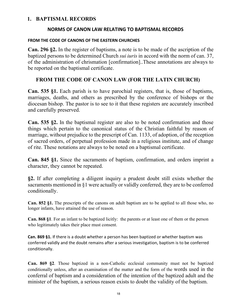#### <span id="page-20-0"></span>**1. BAPTISMAL RECORDS**

#### **NORMS OF CANON LAW RELATING TO BAPTISMAL RECORDS**

#### **FROM THE CODE OF CANONS OF THE EASTERN CHURCHES**

**Can. 296 §2.** In the register of baptisms, a note is to be made of the ascription of the baptized persons to be determined Church *sui iuris* in accord with the norm of can. 37, of the administration of chrismation [confirmation]..These annotations are always to be reported on the baptismal certificate.

# **FROM THE CODE OF CANON LAW (FOR THE LATIN CHURCH)**

**Can. 535 §1.** Each parish is to have parochial registers, that is, those of baptisms, marriages, deaths, and others as prescribed by the conference of bishops or the diocesan bishop. The pastor is to see to it that these registers are accurately inscribed and carefully preserved.

**Can. 535 §2.** In the baptismal register are also to be noted confirmation and those things which pertain to the canonical status of the Christian faithful by reason of marriage, without prejudice to the prescript of Can. 1133, of adoption, of the reception of sacred orders, of perpetual profession made in a religious institute, and of change of rite. These notations are always to be noted on a baptismal certificate.

**Can. 845 §1.** Since the sacraments of baptism, confirmation, and orders imprint a character, they cannot be repeated.

**§2.** If after completing a diligent inquiry a prudent doubt still exists whether the sacraments mentioned in §1 were actually or validly conferred, they are to be conferred conditionally.

**Can. 852 §1.** The prescripts of the canons on adult baptism are to be applied to all those who, no longer infants, have attained the use of reason.

**Can. 868 §1**. For an infant to be baptized licitly: the parents or at least one of them or the person who legitimately takes their place must consent.

**Can. 869 §1.** If there is a doubt whether a person has been baptized or whether baptism was conferred validly and the doubt remains after a serious investigation, baptism is to be conferred conditionally.

**Can. 869 §2**. Those baptized in a non-Catholic ecclesial community must not be baptized conditionally unless, after an examination of the matter and the form of the words used in the conferral of baptism and a consideration of the intention of the baptized adult and the minister of the baptism, a serious reason exists to doubt the validity of the baptism.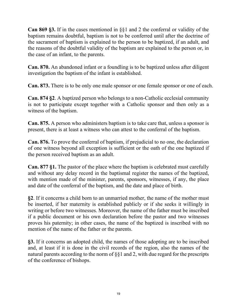**Can 869 §3.** If in the cases mentioned in §§1 and 2 the conferral or validity of the baptism remains doubtful, baptism is not to be conferred until after the doctrine of the sacrament of baptism is explained to the person to be baptized, if an adult, and the reasons of the doubtful validity of the baptism are explained to the person or, in the case of an infant, to the parents.

**Can. 870.** An abandoned infant or a foundling is to be baptized unless after diligent investigation the baptism of the infant is established.

**Can. 873.** There is to be only one male sponsor or one female sponsor or one of each.

**Can. 874 §2**. A baptized person who belongs to a non-Catholic ecclesial community is not to participate except together with a Catholic sponsor and then only as a witness of the baptism.

**Can. 875.** A person who administers baptism is to take care that, unless a sponsor is present, there is at least a witness who can attest to the conferral of the baptism.

**Can. 876.** To prove the conferral of baptism, if prejudicial to no one, the declaration of one witness beyond all exception is sufficient or the oath of the one baptized if the person received baptism as an adult.

**Can. 877 §1.** The pastor of the place where the baptism is celebrated must carefully and without any delay record in the baptismal register the names of the baptized, with mention made of the minister, parents, sponsors, witnesses, if any, the place and date of the conferral of the baptism, and the date and place of birth.

**§2**. If it concerns a child born to an unmarried mother, the name of the mother must be inserted, if her maternity is established publicly or if she seeks it willingly in writing or before two witnesses. Moreover, the name of the father must be inscribed if a public document or his own declaration before the pastor and two witnesses proves his paternity; in other cases, the name of the baptized is inscribed with no mention of the name of the father or the parents.

**§3.** If it concerns an adopted child, the names of those adopting are to be inscribed and, at least if it is done in the civil records of the region, also the names of the natural parents according to the norm of §§1 and 2, with due regard for the prescripts of the conference of bishops.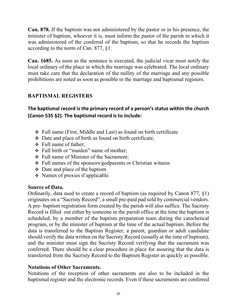**Can. 878.** If the baptism was not administered by the pastor or in his presence, the minister of baptism, whoever it is, must inform the pastor of the parish in which it was administered of the conferral of the baptism, so that he records the baptism according to the norm of Can. 877, §1.

**Can. 1685.** As soon as the sentence is executed, the judicial vicar must notify the local ordinary of the place in which the marriage was celebrated. The local ordinary must take care that the declaration of the nullity of the marriage and any possible prohibitions are noted as soon as possible in the marriage and baptismal registers.

# **BAPTISMAL REGISTERS**

**The baptismal record is the primary record of a person's status within the church (Canon 535 §2). The baptismal record is to include:**

- Full name (First, Middle and Last) as found on birth certificate
- $\cdot$  Date and place of birth as found on birth certificate;
- Full name of father;
- Full birth or "maiden" name of mother;
- Full name of Minister of the Sacrament;
- Full names of the sponsors/godparents or Christian witness
- $\div$  Date and place of the baptism
- Names of proxies if applicable.

# **Source of Data.**

Ordinarily, data used to create a record of baptism (as required by Canon 877, §1) originates on a "Sacristy Record", a small pre-paid pad sold by commercial vendors. A pre- baptism registration form created by the parish will also suffice. The Sacristy Record is filled out either by someone in the parish office at the time the baptism is scheduled, by a member of the baptism preparation team during the catechetical program, or by the minister of baptism at the time of the actual baptism. Before the data is transferred to the Baptism Register, a parent, guardian or adult candidate should verify the data written on the Sacristy Record (usually at the time of baptism), and the minister must sign the Sacristy Record verifying that the sacrament was conferred. There should be a clear procedure in place for assuring that the data is transferred from the Sacristy Record to the Baptism Register as quickly as possible.

# **Notations of Other Sacraments.**

Notations of the reception of other sacraments are also to be included in the baptismal register and the electronic records. Even if these sacraments are conferred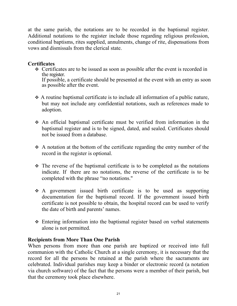at the same parish, the notations are to be recorded in the baptismal register. Additional notations to the register include those regarding religious profession, conditional baptisms, rites supplied, annulments, change of rite, dispensations from vows and dismissals from the clerical state.

### **Certificates**

• Certificates are to be issued as soon as possible after the event is recorded in the register.

If possible, a certificate should be presented at the event with an entry as soon as possible after the event.

- $\triangle$  A routine baptismal certificate is to include all information of a public nature, but may not include any confidential notations, such as references made to adoption.
- An official baptismal certificate must be verified from information in the baptismal register and is to be signed, dated, and sealed. Certificates should not be issued from a database.
- A notation at the bottom of the certificate regarding the entry number of the record in the register is optional.
- $\cdot \cdot$  The reverse of the baptismal certificate is to be completed as the notations indicate. If there are no notations, the reverse of the certificate is to be completed with the phrase "no notations."
- A government issued birth certificate is to be used as supporting documentation for the baptismal record. If the government issued birth certificate is not possible to obtain, the hospital record can be used to verify the date of birth and parents' names.
- Entering information into the baptismal register based on verbal statements alone is not permitted.

#### **Recipients from More Than One Parish**

When persons from more than one parish are baptized or received into full communion with the Catholic Church at a single ceremony, it is necessary that the record for all the persons be retained at the parish where the sacraments are celebrated. Individual parishes may keep a binder or electronic record (a notation via church software) of the fact that the persons were a member of their parish, but that the ceremony took place elsewhere.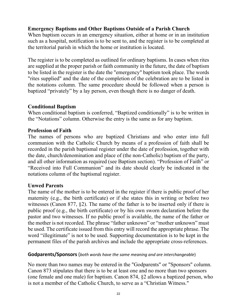# **Emergency Baptisms and Other Baptisms Outside of a Parish Church**

When baptism occurs in an emergency situation, either at home or in an institution such as a hospital, notification is to be sent to, and the register is to be completed at the territorial parish in which the home or institution is located.

The register is to be completed as outlined for ordinary baptisms. In cases when rites are supplied at the proper parish or faith community in the future, the date of baptism to be listed in the register is the date the "emergency" baptism took place. The words "rites supplied" and the date of the completion of the celebration are to be listed in the notations column. The same procedure should be followed when a person is baptized "privately" by a lay person, even though there is no danger of death.

# **Conditional Baptism**

When conditional baptism is conferred, "Baptized conditionally" is to be written in the "Notations" column. Otherwise the entry is the same as for any baptism.

# **Profession of Faith**

The names of persons who are baptized Christians and who enter into full communion with the Catholic Church by means of a profession of faith shall be recorded in the parish baptismal register under the date of profession, together with the date, church/denomination and place of (the non-Catholic) baptism of the party, and all other information as required (see Baptism section). "Profession of Faith" or "Received into Full Communion" and its date should clearly be indicated in the notations column of the baptismal register.

# **Unwed Parents**

The name of the mother is to be entered in the register if there is public proof of her maternity (e.g., the birth certificate) or if she states this in writing or before two witnesses (Canon 877, §2). The name of the father is to be inserted only if there is public proof (e.g., the birth certificate) or by his own sworn declaration before the pastor and two witnesses. If no public proof is available, the name of the father or the mother is not recorded. The phrase "father unknown" or "mother unknown" must be used. The certificate issued from this entry will record the appropriate phrase. The word "illegitimate" is not to be used. Supporting documentation is to be kept in the permanent files of the parish archives and include the appropriate cross-references.

# **Godparents/Sponsors** (*both words have the same meaning and are interchangeable*)

No more than two names may be entered in the "Godparents" or "Sponsors" column. Canon 873 stipulates that there is to be at least one and no more than two sponsors (one female and one male) for baptism. Canon 874, §2 allows a baptized person, who is not a member of the Catholic Church, to serve as a "Christian Witness."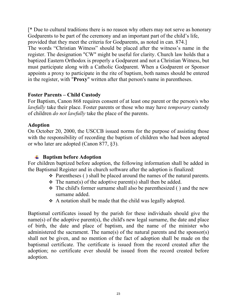[\* Due to cultural traditions there is no reason why others may not serve as honorary Godparents to be part of the ceremony and an important part of the child's life, provided that they meet the criteria for Godparents, as noted in can. 874.] The words "Christian Witness" should be placed after the witness's name in the register. The designation "CW" might be useful for clarity. Church law holds that a baptized Eastern Orthodox is properly a Godparent and not a Christian Witness, but must participate along with a Catholic Godparent. When a Godparent or Sponsor appoints a proxy to participate in the rite of baptism, both names should be entered in the register, with "**Proxy**" written after that person's name in parentheses.

#### **Foster Parents – Child Custody**

For Baptism, Canon 868 requires consent of at least one parent or the person/s who *lawfully* take their place. Foster parents or those who may have *temporary* custody of children *do not lawfully* take the place of the parents.

#### **Adoption**

On October 20, 2000, the USCCB issued norms for the purpose of assisting those with the responsibility of recording the baptism of children who had been adopted or who later are adopted (Canon 877, §3).

# **Baptism before Adoption**

For children baptized before adoption, the following information shall be added in the Baptismal Register and in church software after the adoption is finalized:

- $\div$  Parentheses () shall be placed around the names of the natural parents.
- $\div$  The name(s) of the adoptive parent(s) shall then be added.
- $\cdot \cdot$  The child's former surname shall also be parenthesized () and the new surname added.
- ◆ A notation shall be made that the child was legally adopted.

Baptismal certificates issued by the parish for these individuals should give the name(s) of the adoptive parent(s), the child's new legal surname, the date and place of birth, the date and place of baptism, and the name of the minister who administered the sacrament. The name(s) of the natural parents and the sponsor(s) shall not be given, and no mention of the fact of adoption shall be made on the baptismal certificate. The certificate is issued from the record created after the adoption; no certificate ever should be issued from the record created before adoption.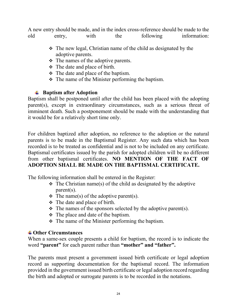A new entry should be made, and in the index cross-reference should be made to the old entry, with the following information:

- $\cdot \cdot$  The new legal, Christian name of the child as designated by the adoptive parents.
- $\div$  The names of the adoptive parents.
- $\div$  The date and place of birth.
- $\div$  The date and place of the baptism.
- $\div$  The name of the Minister performing the baptism.

# **Baptism after Adoption**

Baptism shall be postponed until after the child has been placed with the adopting parent(s), except in extraordinary circumstances, such as a serious threat of imminent death. Such a postponement should be made with the understanding that it would be for a relatively short time only.

For children baptized after adoption, no reference to the adoption or the natural parents is to be made in the Baptismal Register. Any such data which has been recorded is to be treated as confidential and is not to be included on any certificate. Baptismal certificates issued by the parish for adopted children will be no different from other baptismal certificates. **NO MENTION OF THE FACT OF ADOPTION SHALL BE MADE ON THE BAPTISMAL CERTIFICATE.**

The following information shall be entered in the Register:

- $\div$  The Christian name(s) of the child as designated by the adoptive parent(s).
- $\div$  The name(s) of the adoptive parent(s).
- $\div$  The date and place of birth.
- $\triangle$  The names of the sponsors selected by the adoptive parent(s).
- $\div$  The place and date of the baptism.
- $\div$  The name of the Minister performing the baptism.

# **Other Circumstances**

When a same-sex couple presents a child for baptism, the record is to indicate the word **"parent"** for each parent rather than **"mother" and "father".**

The parents must present a government issued birth certificate or legal adoption record as supporting documentation for the baptismal record. The information provided in the government issued birth certificate or legal adoption record regarding the birth and adopted or surrogate parents is to be recorded in the notations.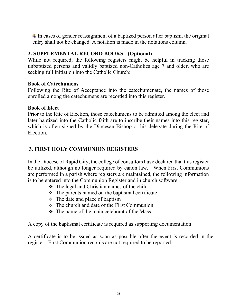$\ddot{\phantom{1}}$  In cases of gender reassignment of a baptized person after baptism, the original entry shall not be changed. A notation is made in the notations column.

# <span id="page-27-0"></span>**2. SUPPLEMENTAL RECORD BOOKS - (Optional)**

While not required, the following registers might be helpful in tracking those unbaptized persons and validly baptized non-Catholics age 7 and older, who are seeking full initiation into the Catholic Church:

#### **Book of Catechumens**

Following the Rite of Acceptance into the catechumenate, the names of those enrolled among the catechumens are recorded into this register.

#### **Book of Elect**

Prior to the Rite of Election, those catechumens to be admitted among the elect and later baptized into the Catholic faith are to inscribe their names into this register, which is often signed by the Diocesan Bishop or his delegate during the Rite of Election.

# **3. FIRST HOLY COMMUNION REGISTERS**

In the Diocese of Rapid City, the college of consultors have declared that this register be utilized, although no longer required by canon law. When First Communions are performed in a parish where registers are maintained, the following information is to be entered into the Communion Register and in church software:

- The legal and Christian names of the child
- The parents named on the baptismal certificate
- $\div$  The date and place of baptism
- The church and date of the First Communion
- $\div$  The name of the main celebrant of the Mass.

A copy of the baptismal certificate is required as supporting documentation.

A certificate is to be issued as soon as possible after the event is recorded in the register. First Communion records are not required to be reported.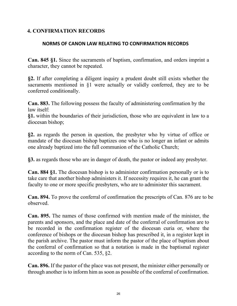# <span id="page-28-0"></span>**4. CONFIRMATION RECORDS**

#### **NORMS OF CANON LAW RELATING TO CONFIRMATION RECORDS**

**Can. 845 §1.** Since the sacraments of baptism, confirmation, and orders imprint a character, they cannot be repeated.

**§2.** If after completing a diligent inquiry a prudent doubt still exists whether the sacraments mentioned in §1 were actually or validly conferred, they are to be conferred conditionally.

**Can. 883.** The following possess the faculty of administering confirmation by the law itself:

**§1.** within the boundaries of their jurisdiction, those who are equivalent in law to a diocesan bishop;

**§2.** as regards the person in question, the presbyter who by virtue of office or mandate of the diocesan bishop baptizes one who is no longer an infant or admits one already baptized into the full communion of the Catholic Church;

**§3.** as regards those who are in danger of death, the pastor or indeed any presbyter.

**Can. 884 §1.** The diocesan bishop is to administer confirmation personally or is to take care that another bishop administers it. If necessity requires it, he can grant the faculty to one or more specific presbyters, who are to administer this sacrament.

**Can. 894.** To prove the conferral of confirmation the prescripts of Can. 876 are to be observed.

**Can. 895.** The names of those confirmed with mention made of the minister, the parents and sponsors, and the place and date of the conferral of confirmation are to be recorded in the confirmation register of the diocesan curia or, where the conference of bishops or the diocesan bishop has prescribed it, in a register kept in the parish archive. The pastor must inform the pastor of the place of baptism about the conferral of confirmation so that a notation is made in the baptismal register according to the norm of Can. 535, §2.

**Can. 896.** If the pastor of the place was not present, the minister either personally or through another is to inform him as soon as possible of the conferral of confirmation.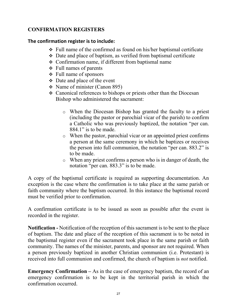# **CONFIRMATION REGISTERS**

#### **The confirmation register is to include:**

- $\div$  Full name of the confirmed as found on his/her baptismal certificate
- Date and place of baptism, as verified from baptismal certificate
- Confirmation name, if different from baptismal name
- Full names of parents
- $\div$  Full name of sponsors
- Date and place of the event
- $\div$  Name of minister (Canon 895)
- Canonical references to bishops or priests other than the Diocesan Bishop who administered the sacrament:
	- o When the Diocesan Bishop has granted the faculty to a priest (including the pastor or parochial vicar of the parish) to confirm a Catholic who was previously baptized, the notation "per can. 884.1" is to be made.
	- o When the pastor, parochial vicar or an appointed priest confirms a person at the same ceremony in which he baptizes or receives the person into full communion, the notation "per can. 883.2" is to be made.
	- o When any priest confirms a person who is in danger of death, the notation "per can. 883.3" is to be made.

A copy of the baptismal certificate is required as supporting documentation. An exception is the case where the confirmation is to take place at the same parish or faith community where the baptism occurred. In this instance the baptismal record must be verified prior to confirmation.

A confirmation certificate is to be issued as soon as possible after the event is recorded in the register.

**Notification -** Notification of the reception of this sacrament is to be sent to the place of baptism. The date and place of the reception of this sacrament is to be noted in the baptismal register even if the sacrament took place in the same parish or faith community. The names of the minister, parents, and sponsor are not required. When a person previously baptized in another Christian communion (i.e. Protestant) is received into full communion and confirmed, the church of baptism is *not* notified.

**Emergency Confirmation –** As in the case of emergency baptism, the record of an emergency confirmation is to be kept in the territorial parish in which the confirmation occurred.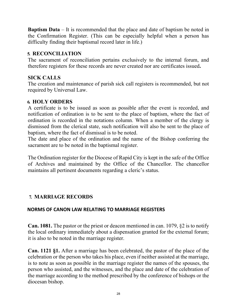**Baptism Data** – It is recommended that the place and date of baptism be noted in the Confirmation Register. (This can be especially helpful when a person has difficulty finding their baptismal record later in life.)

### <span id="page-30-0"></span>**5. RECONCILIATION**

The sacrament of reconciliation pertains exclusively to the internal forum, and therefore registers for these records are never created nor are certificates issued**.** 

# <span id="page-30-1"></span>**SICK CALLS**

The creation and maintenance of parish sick call registers is recommended, but not required by Universal Law.

# <span id="page-30-2"></span>**6. HOLY ORDERS**

A certificate is to be issued as soon as possible after the event is recorded, and notification of ordination is to be sent to the place of baptism, where the fact of ordination is recorded in the notations column. When a member of the clergy is dismissed from the clerical state, such notification will also be sent to the place of baptism, where the fact of dismissal is to be noted.

The date and place of the ordination and the name of the Bishop conferring the sacrament are to be noted in the baptismal register.

The Ordination register for the Diocese of Rapid City is kept in the safe of the Office of Archives and maintained by the Office of the Chancellor. The chancellor maintains all pertinent documents regarding a cleric's status.

# **7. MARRIAGE RECORDS**

#### **NORMS OF CANON LAW RELATING TO MARRIAGE REGISTERS**

**Can. 1081.** The pastor or the priest or deacon mentioned in can. 1079, §2 is to notify the local ordinary immediately about a dispensation granted for the external forum; it is also to be noted in the marriage register.

**Can. 1121 §1.** After a marriage has been celebrated, the pastor of the place of the celebration or the person who takes his place, even if neither assisted at the marriage, is to note as soon as possible in the marriage register the names of the spouses, the person who assisted, and the witnesses, and the place and date of the celebration of the marriage according to the method prescribed by the conference of bishops or the diocesan bishop.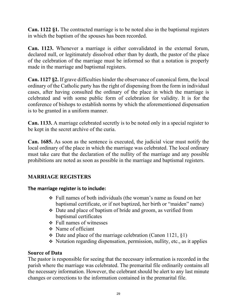**Can. 1122 §1.** The contracted marriage is to be noted also in the baptismal registers in which the baptism of the spouses has been recorded.

**Can. 1123.** Whenever a marriage is either convalidated in the external forum, declared null, or legitimately dissolved other than by death, the pastor of the place of the celebration of the marriage must be informed so that a notation is properly made in the marriage and baptismal registers.

**Can. 1127 §2.** If grave difficulties hinder the observance of canonical form, the local ordinary of the Catholic party has the right of dispensing from the form in individual cases, after having consulted the ordinary of the place in which the marriage is celebrated and with some public form of celebration for validity. It is for the conference of bishops to establish norms by which the aforementioned dispensation is to be granted in a uniform manner.

**Can. 1133.** A marriage celebrated secretly is to be noted only in a special register to be kept in the secret archive of the curia.

**Can. 1685.** As soon as the sentence is executed, the judicial vicar must notify the local ordinary of the place in which the marriage was celebrated. The local ordinary must take care that the declaration of the nullity of the marriage and any possible prohibitions are noted as soon as possible in the marriage and baptismal registers.

# <span id="page-31-0"></span>**MARRIAGE REGISTERS**

# **The marriage register is to include:**

- Full names of both individuals (the woman's name as found on her baptismal certificate, or if not baptized, her birth or "maiden" name)
- Date and place of baptism of bride and groom, as verified from baptismal certificates
- Full names of witnesses
- Name of officiant
- $\div$  Date and place of the marriage celebration (Canon 1121, §1)
- Notation regarding dispensation, permission, nullity, etc., as it applies

# **Source of Data**

The pastor is responsible for seeing that the necessary information is recorded in the parish where the marriage was celebrated. The premarital file ordinarily contains all the necessary information. However, the celebrant should be alert to any last minute changes or corrections to the information contained in the premarital file.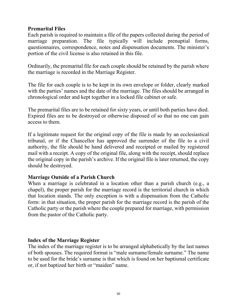### **Premarital Files**

Each parish is required to maintain a file of the papers collected during the period of marriage preparation. The file typically will include prenuptial forms, questionnaires, correspondence, notes and dispensation documents. The minister's portion of the civil license is also retained in this file.

Ordinarily, the premarital file for each couple should be retained by the parish where the marriage is recorded in the Marriage Register.

The file for each couple is to be kept in its own envelope or folder, clearly marked with the parties' names and the date of the marriage. The files should be arranged in chronological order and kept together in a locked file cabinet or safe.

The premarital files are to be retained for sixty years, or until both parties have died. Expired files are to be destroyed or otherwise disposed of so that no one can gain access to them.

If a legitimate request for the original copy of the file is made by an ecclesiastical tribunal, or if the Chancellor has approved the surrender of the file to a civil authority, the file should be hand delivered and receipted or mailed by registered mail with a receipt. A copy of the original file, along with the receipt, should replace the original copy in the parish's archive. If the original file is later returned, the copy should be destroyed.

#### **Marriage Outside of a Parish Church**

When a marriage is celebrated in a location other than a parish church (e.g., a chapel), the proper parish for the marriage record is the territorial church in which that location stands. The only exception is with a dispensation from the Catholic form: in that situation, the proper parish for the marriage record is the parish of the Catholic party or the parish where the couple prepared for marriage, with permission from the pastor of the Catholic party.

#### **Index of the Marriage Register**

The index of the marriage register is to be arranged alphabetically by the last names of both spouses. The required format is "male surname/female surname." The name to be used for the bride's surname is that which is found on her baptismal certificate or, if not baptized her birth or "maiden" name.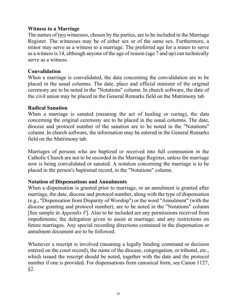#### **Witness to a Marriage**

The names of two witnesses, chosen by the parties, are to be included in the Marriage Register. The witnesses may be of either sex or of the same sex. Furthermore, a minor may serve as a witness to a marriage. The preferred age for a minor to serve as a witness is 14, although anyone of the age of reason (age 7 and up) can technically serve as a witness.

#### **Convalidation**

When a marriage is convalidated, the data concerning the convalidation are to be placed in the usual columns. The date, place and official minister of the original ceremony are to be noted in the "Notations" column. In church software, the date of the civil union may be placed in the General Remarks field on the Matrimony tab

#### **Radical Sanation**

When a marriage is sanated (meaning the act of healing or curing), the data concerning the original ceremony are to be placed in the usual columns. The date, diocese and protocol number of the sanation are to be noted in the "Notations" column. In church software, the information may be entered in the General Remarks field on the Matrimony tab.

Marriages of persons who are baptized or received into full communion in the Catholic Church are not to be recorded in the Marriage Register, unless the marriage now is being convalidated or sanated. A notation concerning the marriage is to be placed in the person's baptismal record, in the "Notations" column.

#### **Notation of Dispensations and Annulments**

When a dispensation is granted prior to marriage, or an annulment is granted after marriage, the date, diocese and protocol number, along with the type of dispensation (e.g., "Dispensation from Disparity of Worship") or the word "Annulment" (with the diocese granting and protocol number), are to be noted in the "Notations" column [See sample in *Appendix F*]. Also to be included are any permissions received from impediments; the delegation given to assist at marriage; and any restrictions on future marriages. Any special recording directions contained in the dispensation or annulment document are to be followed.

Whenever a rescript is involved (meaning a legally binding command or decision entered on the court record), the name of the diocese, congregation, or tribunal, etc., which issued the rescript should be noted, together with the date and the protocol number if one is provided. For dispensations from canonical form, see Canon 1127, §2.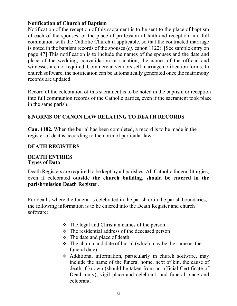# **Notification of Church of Baptism**

Notification of the reception of this sacrament is to be sent to the place of baptism of each of the spouses, or the place of profession of faith and reception into full communion with the Catholic Church if applicable, so that the contracted marriage is noted in the baptism records of the spouses (*cf*. canon 1122). [See sample entry on page 47] This notification is to include the names of the spouses and the date and place of the wedding, convalidation or sanation; the names of the official and witnesses are not required. Commercial vendors sell marriage notification forms. In church software, the notification can be automatically generated once the matrimony records are updated.

<span id="page-34-0"></span>Record of the celebration of this sacrament is to be noted in the baptism or reception into full communion records of the Catholic parties, even if the sacrament took place in the same parish.

# **8.NORMS OF CANON LAW RELATING TO DEATH RECORDS**

**Can. 1182.** When the burial has been completed, a record is to be made in the register of deaths according to the norm of particular law.

# **DEATH REGISTERS**

#### **DEATH ENTRIES Types of Data**

Death Registers are required to be kept by all parishes. All Catholic funeral liturgies, even if celebrated **outside the church building, should be entered in the parish/mission Death Register.**

For deaths where the funeral is celebrated in the parish or in the parish boundaries, the following information is to be entered into the Death Register and church software:

- The legal and Christian names of the person
- $\div$  The residential address of the deceased person
- $\div$  The date and place of death
- $\div$  The church and date of burial (which may be the same as the funeral date)
- Additional information, particularly in church software, may include the name of the funeral home, next of kin, the cause of death if known (should be taken from an official Certificate of Death only), vigil place and celebrant, and funeral place and celebrant.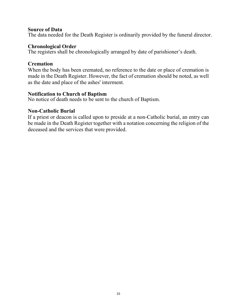#### **Source of Data**

The data needed for the Death Register is ordinarily provided by the funeral director.

#### **Chronological Order**

The registers shall be chronologically arranged by date of parishioner's death.

#### **Cremation**

When the body has been cremated, no reference to the date or place of cremation is made in the Death Register. However, the fact of cremation should be noted, as well as the date and place of the ashes' interment.

#### **Notification to Church of Baptism**

No notice of death needs to be sent to the church of Baptism.

#### **Non-Catholic Burial**

If a priest or deacon is called upon to preside at a non-Catholic burial, an entry can be made in the Death Register together with a notation concerning the religion of the deceased and the services that were provided.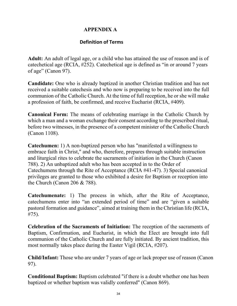# <span id="page-36-0"></span> **APPENDIX A**

### **Definition of Terms**

**Adult:** An adult of legal age, or a child who has attained the use of reason and is of catechetical age (RCIA, #252). Catechetical age is defined as "in or around 7 years of age" (Canon 97).

**Candidate:** One who is already baptized in another Christian tradition and has not received a suitable catechesis and who now is preparing to be received into the full communion of the Catholic Church. At the time of full reception, he or she will make a profession of faith, be confirmed, and receive Eucharist (RCIA, #409).

**Canonical Form:** The means of celebrating marriage in the Catholic Church by which a man and a woman exchange their consent according to the prescribed ritual, before two witnesses, in the presence of a competent minister of the Catholic Church (Canon 1108).

**Catechumen:** 1) A non-baptized person who has "manifested a willingness to embrace faith in Christ," and who, therefore, prepares through suitable instruction and liturgical rites to celebrate the sacraments of initiation in the Church (Canon 788). 2) An unbaptized adult who has been accepted in to the Order of Catechumens through the Rite of Acceptance (RCIA #41-47). 3) Special canonical privileges are granted to those who exhibited a desire for Baptism or reception into the Church (Canon 206 & 788).

**Catechumenate:** 1) The process in which, after the Rite of Acceptance, catechumens enter into "an extended period of time" and are "given a suitable pastoral formation and guidance", aimed at training them in the Christian life (RCIA, #75).

**Celebration of the Sacraments of Initiation:** The reception of the sacraments of Baptism, Confirmation, and Eucharist, in which the Elect are brought into full communion of the Catholic Church and are fully initiated. By ancient tradition, this most normally takes place during the Easter Vigil (RCIA, #207).

**Child/Infant:** Those who are under 7 years of age or lack proper use of reason (Canon 97).

**Conditional Baptism:** Baptism celebrated "if there is a doubt whether one has been baptized or whether baptism was validly conferred" (Canon 869).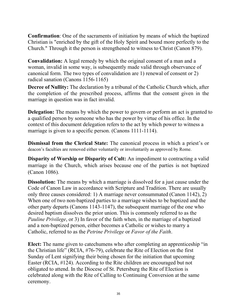**Confirmation**: One of the sacraments of initiation by means of which the baptized Christian is "enriched by the gift of the Holy Spirit and bound more perfectly to the Church." Through it the person is strengthened to witness to Christ (Canon 879).

**Convalidation:** A legal remedy by which the original consent of a man and a woman, invalid in some way, is subsequently made valid through observance of canonical form. The two types of convalidation are 1) renewal of consent or 2) radical sanation (Canons 1156-1165)

**Decree of Nullity:** The declaration by a tribunal of the Catholic Church which, after the completion of the prescribed process, affirms that the consent given in the marriage in question was in fact invalid.

**Delegation:** The means by which the power to govern or perform an act is granted to a qualified person by someone who has the power by virtue of his office. In the context of this document delegation refers to the act by which power to witness a marriage is given to a specific person. (Canons 1111-1114).

**Dismissal from the Clerical State:** The canonical process in which a priest's or deacon's faculties are removed either voluntarily or involuntarily as approved by Rome.

**Disparity of Worship or Disparity of Cult:** An impediment to contracting a valid marriage in the Church, which arises because one of the parties is not baptized (Canon 1086).

**Dissolution:** The means by which a marriage is dissolved for a just cause under the Code of Canon Law in accordance with Scripture and Tradition. There are usually only three causes considered: 1) A marriage never consummated (Canon 1142), 2) When one of two non-baptized parties to a marriage wishes to be baptized and the other party departs (Canons 1143-1147), the subsequent marriage of the one who desired baptism dissolves the prior union. This is commonly referred to as the *Pauline Privilege*, or 3) In favor of the faith when, in the marriage of a baptized and a non-baptized person, either becomes a Catholic or wishes to marry a Catholic, referred to as the *Petrine Privilege* or *Favor of the Faith*.

**Elect:** The name given to catechumens who after completing an apprenticeship "in the Christian life" (RCIA, #76-79), celebrate the Rite of Election on the first Sunday of Lent signifying their being chosen for the initiation that upcoming Easter (RCIA, #124). According to the Rite children are encouraged but not obligated to attend. In the Diocese of St. Petersburg the Rite of Election is celebrated along with the Rite of Calling to Continuing Conversion at the same ceremony.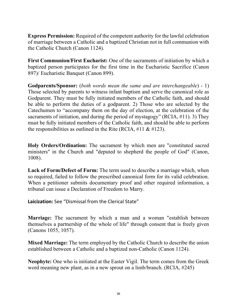**Express Permission:** Required of the competent authority for the lawful celebration of marriage between a Catholic and a baptized Christian not in full communion with the Catholic Church (Canon 1124).

**First Communion/First Eucharist:** One of the sacraments of initiation by which a baptized person participates for the first time in the Eucharistic Sacrifice (Canon 897)/ Eucharistic Banquet (Canon 899).

**Godparents/Sponsor:** (*both words mean the same and are interchangeable*) - 1) Those selected by parents to witness infant baptism and serve the canonical role as Godparent. They must be fully initiated members of the Catholic faith, and should be able to perform the duties of a godparent. 2) Those who are selected by the Catechumen to "accompany them on the day of election, at the celebration of the sacraments of initiation, and during the period of mystagogy" (RCIA, #11). 3) They must be fully initiated members of the Catholic faith, and should be able to perform the responsibilities as outlined in the Rite (RCIA,  $\#11 \& \#123$ ).

**Holy Orders/Ordination:** The sacrament by which men are "constituted sacred ministers" in the Church and "deputed to shepherd the people of God" (Canon, 1008).

**Lack of Form/Defect of Form:** The term used to describe a marriage which, when so required, failed to follow the prescribed canonical form for its valid celebration. When a petitioner submits documentary proof and other required information, a tribunal can issue a Declaration of Freedom to Marry.

**Laicization:** See "Dismissal from the Clerical State"

**Marriage:** The sacrament by which a man and a woman "establish between themselves a partnership of the whole of life" through consent that is freely given (Canons 1055, 1057).

**Mixed Marriage:** The term employed by the Catholic Church to describe the union established between a Catholic and a baptized non-Catholic (Canon 1124).

**Neophyte:** One who is initiated at the Easter Vigil. The term comes from the Greek word meaning new plant, as in a new sprout on a limb/branch. (RCIA, #245)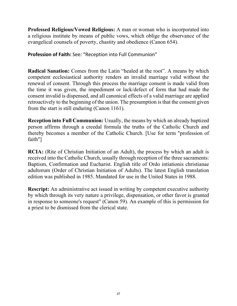**Professed Religious/Vowed Religious:** A man or woman who is incorporated into a religious institute by means of public vows, which oblige the observance of the evangelical counsels of poverty, chastity and obedience (Canon 654).

**Profession of Faith:** See: "Reception into Full Communion"

**Radical Sanation:** Comes from the Latin "healed at the root". A means by which competent ecclesiastical authority renders an invalid marriage valid without the renewal of consent. Through this process the marriage consent is made valid from the time it was given, the impediment or lack/defect of form that had made the consent invalid is dispensed, and all canonical effects of a valid marriage are applied retroactively to the beginning of the union. The presumption is that the consent given from the start is still enduring (Canon 1161).

**Reception into Full Communion:** Usually, the means by which an already baptized person affirms through a creedal formula the truths of the Catholic Church and thereby becomes a member of the Catholic Church. [Use for term "profession of faith"]

**RCIA:** (Rite of Christian Initiation of an Adult), the process by which an adult is received into the Catholic Church, usually through reception of the three sacraments: Baptism, Confirmation and Eucharist. English title of Ordo intiationis christianae adultorum (Order of Christian Initiation of Adults). The latest English translation edition was published in 1985. Mandated for use in the United States in 1988.

**Rescript:** An administrative act issued in writing by competent executive authority by which through its very nature a privilege, dispensation, or other favor is granted in response to someone's request" (Canon 59). An example of this is permission for a priest to be dismissed from the clerical state.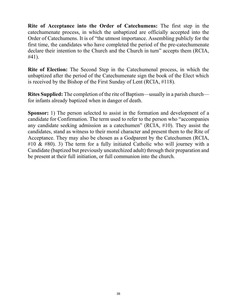**Rite of Acceptance into the Order of Catechumens:** The first step in the catechumenate process, in which the unbaptized are officially accepted into the Order of Catechumens. It is of "the utmost importance. Assembling publicly for the first time, the candidates who have completed the period of the pre-catechumenate declare their intention to the Church and the Church in turn" accepts them (RCIA, #41).

**Rite of Election:** The Second Step in the Catechumenal process, in which the unbaptized after the period of the Catechumenate sign the book of the Elect which is received by the Bishop of the First Sunday of Lent (RCIA, #118).

**Rites Supplied:** The completion of the rite of Baptism—usually in a parish church for infants already baptized when in danger of death.

**Sponsor:** 1) The person selected to assist in the formation and development of a candidate for Confirmation. The term used to refer to the person who "accompanies any candidate seeking admission as a catechumen" (RCIA, #10). They assist the candidates, stand as witness to their moral character and present them to the Rite of Acceptance. They may also be chosen as a Godparent by the Catechumen (RCIA, #10 & #80). 3) The term for a fully initiated Catholic who will journey with a Candidate (baptized but previously uncatechized adult) through their preparation and be present at their full initiation, or full communion into the church.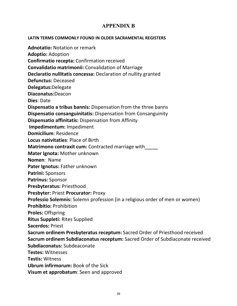# <span id="page-41-0"></span>**APPENDIX B**

**LATIN TERMS COMMONLY FOUND IN OLDER SACRAMENTAL REGISTERS**

**Adnotatio:** Notation or remark

**Adoptio:** Adoption

**Confirmatio recepta:** Confirmation received

**Convalidatio matrimonii:** Convalidation of Marriage

**Declaratio nullitatis concessa:** Declaration of nullity granted

**Defunctus:** Deceased

**Delegatus:**Delegate

**Diaconatus:**Deacon

**Dies**: Date

**Dispensatio a tribus bannis:** Dispensation from the three banns

**Dispensatio consanguinitatis:** Dispensation from Consanguinity

**Dispensatio affinitatis:** Dispensation from Affinity

**Impedimentum:** Impediment

**Domicilium**: Residence

**Locus nativitaties**: Place of Birth

**Matrimono contraxit cum:** Contracted marriage with

**Mater Ignota:** Mother unknown

**Nomen**: Name

**Pater Ignotus:** Father unknown

**Patrini:** Sponsors

**Patrinus:** Sponsor

**Presbyteratus:** Priesthood

**Presbyter:** Priest **Procurator:** Proxy

**Professio Solemnis:** Solemn profession (in a religious order of men or women)

**Prohibitio:** Prohibition

**Proles:** Offspring

**Ritus Suppleti:** Rites Supplied

**Sacerdos:** Priest

**Sacrum ordinem Presbyteratus receptum:** Sacred Order of Priesthood received **Sacrum ordinem Subdiaconatus receptum:** Sacred Order of Subdiaconate received **Subdiaconatus:** Subdeaconate

**Testes:** Witnesses

**Testis:** Witness

**Ubrum infirmorum:** Book of the Sick

**Visum et approbatum**: Seen and approved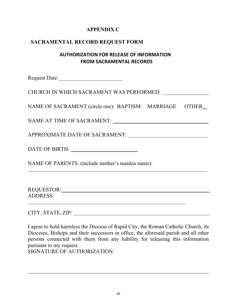# **APPENDIX C**

# <span id="page-42-0"></span>**SACRAMENTAL RECORD REQUEST FORM**

# **AUTHORIZATION FOR RELEASE OF INFORMATION FROM SACRAMENTAL RECORDS**

Request Date:

CHURCH IN WHICH SACRAMENT WAS PERFORMED:

NAME OF SACRAMENT (circle one): BAPTISM MARRIAGE OTHER

NAME AT TIME OF SACRAMENT:

APPROXIMATE DATE OF SACRAMENT:

DATE OF BIRTH:

NAME OF PARENTS: (include mother's maiden name):

REQUESTOR: North and the set of the set of the set of the set of the set of the set of the set of the set of the set of the set of the set of the set of the set of the set of the set of the set of the set of the set of the ADDRESS: <u> 1980 - Johann Barbara, martxa alemaniar amerikan a</u>

CITY, STATE, ZIP:

I agree to hold harmless the Diocese of Rapid City, the Roman Catholic Church, its Dioceses, Bishops and their successors in office, the aforesaid parish and all other persons connected with them from any liability for releasing this information pursuant to my request.

SIGNATURE OF AUTHORIZATION: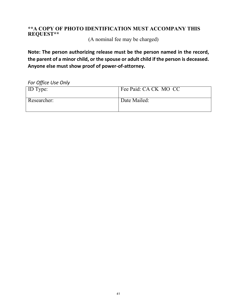### **\*\*A COPY OF PHOTO IDENTIFICATION MUST ACCOMPANY THIS REQUEST\*\***

(A nominal fee may be charged)

**Note: The person authorizing release must be the person named in the record, the parent of a minor child, or the spouse or adult child if the person is deceased. Anyone else must show proof of power-of-attorney.**

*For Office Use Only*

| <b>ID</b> Type: | Fee Paid: CA CK MO CC |
|-----------------|-----------------------|
| Researcher:     | Date Mailed:          |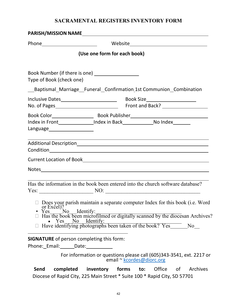# **SACRAMENTAL REGISTERS INVENTORY FORM**

|      | Phone Mebsite Mebsite Phone 2014                                                                                                                                                                                                                                                                          |                                                                      |                           |     |        |    |          |
|------|-----------------------------------------------------------------------------------------------------------------------------------------------------------------------------------------------------------------------------------------------------------------------------------------------------------|----------------------------------------------------------------------|---------------------------|-----|--------|----|----------|
|      |                                                                                                                                                                                                                                                                                                           | (Use one form for each book)                                         |                           |     |        |    |          |
|      | Type of Book (check one)                                                                                                                                                                                                                                                                                  |                                                                      |                           |     |        |    |          |
|      | __Baptismal_Marriage__Funeral_Confirmation_1st Communion_Combination                                                                                                                                                                                                                                      |                                                                      |                           |     |        |    |          |
|      |                                                                                                                                                                                                                                                                                                           |                                                                      |                           |     |        |    |          |
|      |                                                                                                                                                                                                                                                                                                           |                                                                      |                           |     |        |    |          |
|      | Index in Front ________________Index in Back_____________________No Index________                                                                                                                                                                                                                         |                                                                      |                           |     |        |    |          |
|      |                                                                                                                                                                                                                                                                                                           |                                                                      |                           |     |        |    |          |
|      |                                                                                                                                                                                                                                                                                                           |                                                                      |                           |     |        |    |          |
| Yes  | Has the information in the book been entered into the church software database?<br>$\Box$ Does your parish maintain a separate computer Index for this book (i.e. Word or Excel)?<br>N <sub>o</sub><br>□ Has the book been microfilmed or digitally scanned by the diocesan Archives?<br>Yes No Identify: | Identify:                                                            |                           |     |        |    |          |
|      | <b>SIGNATURE</b> of person completing this form:<br>Phone: Email: Date:                                                                                                                                                                                                                                   |                                                                      |                           |     |        |    |          |
|      |                                                                                                                                                                                                                                                                                                           | For information or questions please call (605)343-3541, ext. 2217 or | email ~ kcordes@diorc.org |     |        |    |          |
| Send | completed                                                                                                                                                                                                                                                                                                 | inventory                                                            | forms                     | to: | Office | of | Archives |

Diocese of Rapid City, 225 Main Street \* Suite 100 \* Rapid City, SD 57701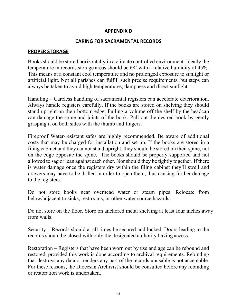#### **APPENDIX D**

#### **CARING FOR SACRAMENTAL RECORDS**

#### <span id="page-45-0"></span>**PROPER STORAGE**

Books should be stored horizontally in a climate controlled environment. Ideally the temperature in records storage areas should be 68˚ with a relative humidity of 45%. This means at a constant cool temperature and no prolonged exposure to sunlight or artificial light. Not all parishes can fulfill such precise requirements, but steps can always be taken to avoid high temperatures, dampness and direct sunlight.

Handling – Careless handling of sacramental registers can accelerate deterioration. Always handle registers carefully. If the books are stored on shelving they should stand upright on their bottom edge. Pulling a volume off the shelf by the headcap can damage the spine and joints of the book. Pull out the desired book by gently grasping it on both sides with the thumb and fingers.

Fireproof Water-resistant safes are highly recommended. Be aware of additional costs that may be charged for installation and set-up. If the books are stored in a filing cabinet and they cannot stand upright, they should be stored on their spine, not on the edge opposite the spine. The books should be properly supported and not allowed to sag or lean against each other. Nor should they be tightly together. If there is water damage once the registers dry within the filing cabinet they'll swell and drawers may have to be drilled in order to open them, thus causing further damage to the registers.

Do not store books near overhead water or steam pipes. Relocate from below/adjacent to sinks, restrooms, or other water source hazards.

Do not store on the floor. Store on anchored metal shelving at least four inches away from walls.

Security – Records should at all times be secured and locked. Doors leading to the records should be closed with only the designated authority having access.

Restoration – Registers that have been worn out by use and age can be rebound and restored, provided this work is done according to archival requirements. Rebinding that destroys any data or renders any part of the records unusable is not acceptable. For these reasons, the Diocesan Archivist should be consulted before any rebinding or restoration work is undertaken.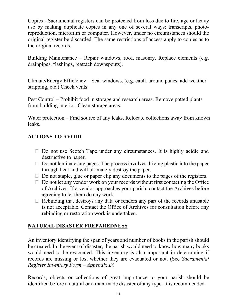Copies - Sacramental registers can be protected from loss due to fire, age or heavy use by making duplicate copies in any one of several ways: transcripts, photoreproduction, microfilm or computer. However, under no circumstances should the original register be discarded. The same restrictions of access apply to copies as to the original records.

Building Maintenance – Repair windows, roof, masonry. Replace elements (e.g. drainpipes, flashings, reattach downspouts).

Climate/Energy Efficiency – Seal windows. (e.g. caulk around panes, add weather stripping, etc.) Check vents.

Pest Control – Prohibit food in storage and research areas. Remove potted plants from building interior. Clean storage areas.

Water protection – Find source of any leaks. Relocate collections away from known leaks.

# **ACTIONS TO AVOID**

- $\Box$  Do not use Scotch Tape under any circumstances. It is highly acidic and destructive to paper.
- $\Box$  Do not laminate any pages. The process involves driving plastic into the paper through heat and will ultimately destroy the paper.
- $\Box$  Do not staple, glue or paper clip any documents to the pages of the registers.
- $\Box$  Do not let any vendor work on your records without first contacting the Office of Archives. If a vendor approaches your parish, contact the Archives before agreeing to let them do any work.
- $\Box$  Rebinding that destroys any data or renders any part of the records unusable is not acceptable. Contact the Office of Archives for consultation before any rebinding or restoration work is undertaken.

# **NATURAL DISASTER PREPAREDNESS**

An inventory identifying the span of years and number of books in the parish should be created. In the event of disaster, the parish would need to know how many books would need to be evacuated. This inventory is also important in determining if records are missing or lost whether they are evacuated or not. (See *Sacramental Register Inventory Form – Appendix D*)

Records, objects or collections of great importance to your parish should be identified before a natural or a man-made disaster of any type. It is recommended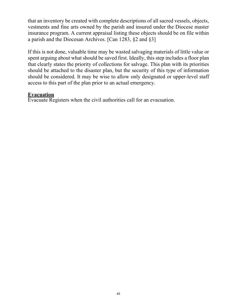that an inventory be created with complete descriptions of all sacred vessels, objects, vestments and fine arts owned by the parish and insured under the Diocese master insurance program. A current appraisal listing these objects should be on file within a parish and the Diocesan Archives. [Can 1283, §2 and §3]

If this is not done, valuable time may be wasted salvaging materials of little value or spent arguing about what should be saved first. Ideally, this step includes a floor plan that clearly states the priority of collections for salvage. This plan with its priorities should be attached to the disaster plan, but the security of this type of information should be considered. It may be wise to allow only designated or upper-level staff access to this part of the plan prior to an actual emergency.

#### <span id="page-47-0"></span>**Evacuation**

Evacuate Registers when the civil authorities call for an evacuation.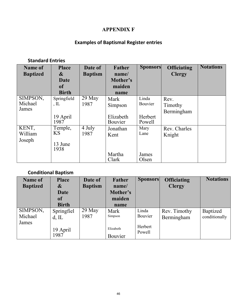# **APPENDIX F**

# **Examples of Baptismal Register entries**

#### **Standard Entries**

| Name of         | <b>Place</b>   | Date of        | <b>Father</b> | <b>Sponsors</b> | <b>Officiating</b> | <b>Notations</b> |
|-----------------|----------------|----------------|---------------|-----------------|--------------------|------------------|
| <b>Baptized</b> | &              | <b>Baptism</b> | name/         |                 | <b>Clergy</b>      |                  |
|                 | Date           |                | Mother's      |                 |                    |                  |
|                 | <b>of</b>      |                | maiden        |                 |                    |                  |
|                 | <b>Birth</b>   |                | name          |                 |                    |                  |
| SIMPSON,        | Springfield    | $29$ May       | Mark          | Linda           | Rev.               |                  |
| Michael         | , $\mathbb{L}$ | 1987           | Simpson       | Bouvier         | Timothy            |                  |
| James           |                |                |               |                 | Bermingham         |                  |
|                 | 19 April       |                | Elizabeth     | Herbert         |                    |                  |
|                 | 1987           |                | Bouvier       | Powell          |                    |                  |
| KENT,           | Temple,        | 4 July         | Jonathan      | Mary            | Rev. Charles       |                  |
| William         | <b>KS</b>      | 1987           | Kent          | Lane            | Knight             |                  |
| Joseph          |                |                |               |                 |                    |                  |
|                 | 13 June        |                |               |                 |                    |                  |
|                 | 1938           |                |               |                 |                    |                  |
|                 |                |                | Martha        | James           |                    |                  |
|                 |                |                | Clark         | Olsen           |                    |                  |

# **Conditional Baptism**

| <b>Name of</b>  | <b>Place</b> | Date of        | Father    | <b>Sponsors</b>   | <b>Officiating</b> | <b>Notations</b> |
|-----------------|--------------|----------------|-----------|-------------------|--------------------|------------------|
| <b>Baptized</b> | &            | <b>Baptism</b> | name/     |                   | <b>Clergy</b>      |                  |
|                 | Date         |                | Mother's  |                   |                    |                  |
|                 | <b>of</b>    |                | maiden    |                   |                    |                  |
|                 | <b>Birth</b> |                | name      |                   |                    |                  |
| SIMPSON,        | Springfiel   | 29 May         | Mark      | Linda             | Rev. Timothy       | Baptized         |
| Michael         | $d$ , IL     | 1987           | Simpson   | Bouvier           | Bermingham         | conditionally    |
| James           |              |                |           |                   |                    |                  |
|                 | 19 April     |                | Elizabeth | Herbert<br>Powell |                    |                  |
|                 | 1987         |                | Bouvier   |                   |                    |                  |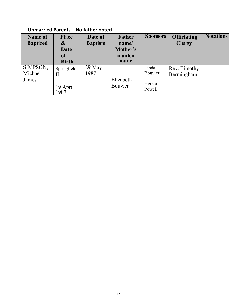# **Unmarried Parents – No father noted**

| <b>Name of</b><br><b>Baptized</b> | <b>Place</b><br>&<br><b>Date</b><br><b>of</b><br><b>Birth</b> | Date of<br><b>Baptism</b> | Father<br>name/<br>Mother's<br>maiden<br>name | <b>Sponsors</b>                       | <b>Officiating</b><br><b>Clergy</b> | <b>Notations</b> |
|-----------------------------------|---------------------------------------------------------------|---------------------------|-----------------------------------------------|---------------------------------------|-------------------------------------|------------------|
| SIMPSON,<br>Michael<br>James      | Springfield,<br>IL<br>19 April<br>1987                        | $29$ May<br>1987          | Elizabeth<br>Bouvier                          | Linda<br>Bouvier<br>Herbert<br>Powell | Rev. Timothy<br>Bermingham          |                  |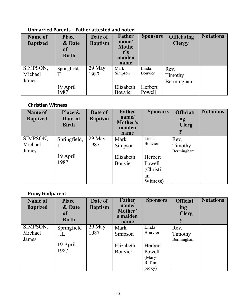# **Unmarried Parents – Father attested and noted**

| <b>Name of</b><br><b>Baptized</b> | <b>Place</b><br>& Date<br><b>of</b><br><b>Birth</b> | Date of<br><b>Baptism</b> | Father<br>name/<br><b>Mothe</b><br>${\bf r}$ 's<br>maiden<br>name | <b>Sponsors</b>   | <b>Officiating</b><br><b>Clergy</b> | <b>Notations</b> |
|-----------------------------------|-----------------------------------------------------|---------------------------|-------------------------------------------------------------------|-------------------|-------------------------------------|------------------|
| SIMPSON,                          | Springfield,                                        | $29$ May                  | Mark                                                              | Linda             | Rev.                                |                  |
| Michael                           | IL                                                  | 1987                      | Simpson                                                           | Bouvier           | Timothy                             |                  |
| James                             |                                                     |                           |                                                                   |                   | Bermingham                          |                  |
|                                   | 19 April<br>1987                                    |                           | Elizabeth<br>Bouvier                                              | Herbert<br>Powell |                                     |                  |

# **Christian Witness**

| <b>Name of</b><br><b>Baptized</b> | Place &<br>Date of<br><b>Birth</b> | Date of<br><b>Baptism</b> | Father<br>name/<br>Mother's<br>maiden<br>name | <b>Sponsors</b>                                  | <b>Officiati</b><br>ng<br><b>Clerg</b><br>y | <b>Notations</b> |
|-----------------------------------|------------------------------------|---------------------------|-----------------------------------------------|--------------------------------------------------|---------------------------------------------|------------------|
| SIMPSON,<br>Michael<br>James      | Springfield,<br>IL                 | 29 May<br>1987            | Mark<br>Simpson                               | Linda<br>Bouvier                                 | Rev.<br>Timothy<br>Bermingham               |                  |
|                                   | 19 April<br>1987                   |                           | Elizabeth<br><b>Bouvier</b>                   | Herbert<br>Powell<br>(Christi)<br>an<br>Witness) |                                             |                  |

# **Proxy Godparent**

| <b>Name of</b><br><b>Baptized</b> | <b>Place</b><br>& Date<br><b>of</b><br><b>Birth</b> | Date of<br><b>Baptism</b> | Father<br>name/<br>Mother'<br>s maiden<br>name | <b>Sponsors</b> | <b>Officiat</b><br>ing<br><b>Clerg</b><br>y | <b>Notations</b> |
|-----------------------------------|-----------------------------------------------------|---------------------------|------------------------------------------------|-----------------|---------------------------------------------|------------------|
| SIMPSON,                          | Springfield                                         | $29$ May                  | Mark                                           | Linda           | Rev.                                        |                  |
| Michael                           | $,$ IL                                              | 1987                      | Simpson                                        | Bouvier         | Timothy                                     |                  |
| James                             |                                                     |                           |                                                |                 | Bermingham                                  |                  |
|                                   | 19 April                                            |                           | Elizabeth                                      | Herbert         |                                             |                  |
|                                   | 1987                                                |                           | <b>Bouvier</b>                                 | Powell          |                                             |                  |
|                                   |                                                     |                           |                                                | (Mary           |                                             |                  |
|                                   |                                                     |                           |                                                | Raffin,         |                                             |                  |
|                                   |                                                     |                           |                                                | proxy)          |                                             |                  |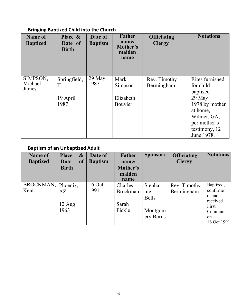# **Bringing Baptized Child into the Church**

| Name of<br><b>Baptized</b>   | Place &<br>Date of<br><b>Birth</b>     | Date of<br><b>Baptism</b> | Father<br>name/<br>Mother's<br>maiden<br>name  | <b>Officiating</b><br><b>Clergy</b> | <b>Notations</b>                                                                                                                               |
|------------------------------|----------------------------------------|---------------------------|------------------------------------------------|-------------------------------------|------------------------------------------------------------------------------------------------------------------------------------------------|
| SIMPSON,<br>Michael<br>James | Springfield,<br>IL<br>19 April<br>1987 | 29 May<br>1987            | Mark<br>Simpson<br>Elizabeth<br><b>Bouvier</b> | Rev. Timothy<br>Bermingham          | Rites furnished<br>for child<br>baptized<br>29 May<br>1978 by mother<br>at home,<br>Wilmer, GA,<br>per mother's<br>testimony, 12<br>June 1978. |

# **Baptism of an Unbaptized Adult**

| Name of<br><b>Baptized</b> | <b>Place</b><br>$\boldsymbol{\&}$<br><b>of</b><br>Date<br><b>Birth</b> | Date of<br><b>Baptism</b> | Father<br>name/<br>Mother's<br>maiden                 | <b>Sponsors</b>                                       | <b>Officiating</b><br><b>Clergy</b> | <b>Notations</b>                                                                                |
|----------------------------|------------------------------------------------------------------------|---------------------------|-------------------------------------------------------|-------------------------------------------------------|-------------------------------------|-------------------------------------------------------------------------------------------------|
| BROCKMAN, Phoenix,<br>Kent | AZ<br>$12 \text{ Aug}$<br>1963                                         | $16$ Oct<br>1991          | name<br>Charles<br><b>Brockman</b><br>Sarah<br>Fickle | Stepha<br>nie<br><b>Bells</b><br>Montgom<br>ery Burns | Rev. Timothy<br>Bermingham          | Baptized,<br>confirme<br>d, and<br>received<br>First<br>Communi<br><sub>on</sub><br>16 Oct 1991 |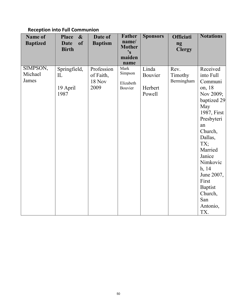# **Reception into Full Communion**

| Name of<br><b>Baptized</b>   | $\boldsymbol{\&}$<br><b>Place</b><br><b>Date</b><br><b>of</b><br><b>Birth</b> | Date of<br><b>Baptism</b>                        | <b>Father</b><br>name/<br><b>Mother</b><br>$\mathbf{S}$<br>maiden<br>name | <b>Sponsors</b>                       | <b>Officiati</b><br>ng<br><b>Clergy</b> | <b>Notations</b>                                                                                                                                                                                                                                                      |
|------------------------------|-------------------------------------------------------------------------------|--------------------------------------------------|---------------------------------------------------------------------------|---------------------------------------|-----------------------------------------|-----------------------------------------------------------------------------------------------------------------------------------------------------------------------------------------------------------------------------------------------------------------------|
| SIMPSON,<br>Michael<br>James | Springfield,<br>IL<br>19 April<br>1987                                        | Profession<br>of Faith,<br><b>18 Nov</b><br>2009 | Mark<br>Simpson<br>Elizabeth<br>Bouvier                                   | Linda<br>Bouvier<br>Herbert<br>Powell | Rev.<br>Timothy<br>Bermingham           | Received<br>into Full<br>Communi<br>on, 18<br>Nov 2009;<br>baptized 29<br>May<br>1987, First<br>Presbyteri<br>an<br>Church,<br>Dallas,<br>TX;<br>Married<br>Janice<br>Nimkovic<br>h, 14<br>June 2007,<br>First<br><b>Baptist</b><br>Church,<br>San<br>Antonio,<br>TX. |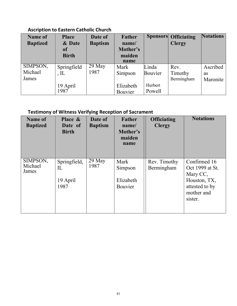# **Ascription to Eastern Catholic Church**

| <b>Name of</b><br><b>Baptized</b> | <b>Place</b><br>& Date<br>of<br><b>Birth</b> | Date of<br><b>Baptism</b> | Father<br>name/<br>Mother's<br>maiden<br>name |                             | <b>Sponsors Officiating</b><br><b>Clergy</b> | <b>Notations</b>                  |
|-----------------------------------|----------------------------------------------|---------------------------|-----------------------------------------------|-----------------------------|----------------------------------------------|-----------------------------------|
| SIMPSON,<br>Michael<br>James      | Springfield<br>$\Pi$<br>19 April             | 29 May<br>1987            | Mark<br>Simpson<br>Elizabeth                  | Linda<br>Bouvier<br>Herbert | Rev.<br>Timothy<br>Bermingham                | Ascribed<br><b>as</b><br>Maronite |
|                                   | 1987                                         |                           | Bouvier                                       | Powell                      |                                              |                                   |

# **Testimony of Witness Verifying Reception of Sacrament**

| Name of<br><b>Baptized</b>   | Place &<br>Date of<br><b>Birth</b>     | Date of<br><b>Baptism</b> | <b>Father</b><br>name/<br>Mother's<br>maiden<br>name | <b>Officiating</b><br><b>Clergy</b> | <b>Notations</b>                                                                                       |
|------------------------------|----------------------------------------|---------------------------|------------------------------------------------------|-------------------------------------|--------------------------------------------------------------------------------------------------------|
| SIMPSON,<br>Michael<br>James | Springfield,<br>IL<br>19 April<br>1987 | 29 May<br>1987            | Mark<br>Simpson<br>Elizabeth<br>Bouvier              | Rev. Timothy<br>Bermingham          | Confirmed 16<br>Oct 1999 at St.<br>Mary CC,<br>Houston, TX,<br>attested to by<br>mother and<br>sister. |
|                              |                                        |                           |                                                      |                                     |                                                                                                        |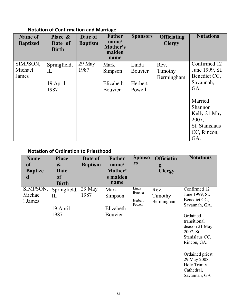# **Notation of Confirmation and Marriage**

| <b>Name of</b><br><b>Baptized</b> | Place &<br>Date of<br><b>Birth</b> | Date of<br><b>Baptism</b> | <b>Father</b><br>name/<br>Mother's<br>maiden<br>name | <b>Sponsors</b> | <b>Officiating</b><br><b>Clergy</b> | <b>Notations</b>                                                                    |
|-----------------------------------|------------------------------------|---------------------------|------------------------------------------------------|-----------------|-------------------------------------|-------------------------------------------------------------------------------------|
| SIMPSON,                          | Springfield,                       | $29$ May                  | Mark                                                 | Linda           | Rev.                                | Confirmed 12                                                                        |
| Michael                           | IL                                 | 1987                      | Simpson                                              | Bouvier         | Timothy                             | June 1999, St.                                                                      |
| James                             |                                    |                           |                                                      |                 | Bermingham                          | Benedict CC,                                                                        |
|                                   | 19 April                           |                           | Elizabeth                                            | Herbert         |                                     | Savannah,                                                                           |
|                                   | 1987                               |                           | Bouvier                                              | Powell          |                                     | GA.                                                                                 |
|                                   |                                    |                           |                                                      |                 |                                     | Married<br>Shannon<br>Kelly 21 May<br>2007,<br>St. Stanislaus<br>CC, Rincon,<br>GA. |

# **Notation of Ordination to Priesthood**

| <b>Name</b>    | <b>Place</b>      | Date of        | <b>Father</b> | <b>Sponso</b>     | <b>Officiatin</b> | <b>Notations</b>    |
|----------------|-------------------|----------------|---------------|-------------------|-------------------|---------------------|
| <b>of</b>      | $\boldsymbol{\&}$ | <b>Baptism</b> | name/         | rs                | g                 |                     |
| <b>Baptize</b> | Date              |                | Mother'       |                   | <b>Clergy</b>     |                     |
| d              | <b>of</b>         |                | s maiden      |                   |                   |                     |
|                | <b>Birth</b>      |                | name          |                   |                   |                     |
| SIMPSON,       | Springfield,      | $29$ May       | Mark          | Linda<br>Bouvier  | Rev.              | Confirmed 12        |
| Michae         | IL                | 1987           | Simpson       |                   | Timothy           | June 1999, St.      |
| 1 James        |                   |                |               | Herbert<br>Powell | Bermingham        | Benedict CC,        |
|                | 19 April          |                | Elizabeth     |                   |                   | Savannah, GA.       |
|                | 1987              |                | Bouvier       |                   |                   | Ordained            |
|                |                   |                |               |                   |                   | transitional        |
|                |                   |                |               |                   |                   | deacon 21 May       |
|                |                   |                |               |                   |                   | 2007, St.           |
|                |                   |                |               |                   |                   | Stanislaus CC,      |
|                |                   |                |               |                   |                   | Rincon, GA.         |
|                |                   |                |               |                   |                   |                     |
|                |                   |                |               |                   |                   | Ordained priest     |
|                |                   |                |               |                   |                   | 29 May 2008,        |
|                |                   |                |               |                   |                   | <b>Holy Trinity</b> |
|                |                   |                |               |                   |                   | Cathedral,          |
|                |                   |                |               |                   |                   | Savannah, GA        |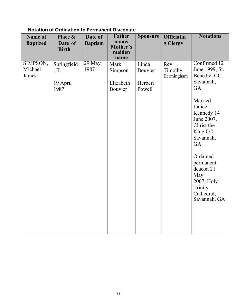| Name of<br><b>Baptized</b>   | Place &<br>Date of<br><b>Birth</b>        | Date of<br><b>Baptism</b> | <b>Father</b><br>name/<br>Mother's<br>maiden<br>name | <b>Sponsors</b>                       | <b>Officiatin</b><br>g Clergy | <b>Notations</b>                                                                                                                                                                                                                                                      |
|------------------------------|-------------------------------------------|---------------------------|------------------------------------------------------|---------------------------------------|-------------------------------|-----------------------------------------------------------------------------------------------------------------------------------------------------------------------------------------------------------------------------------------------------------------------|
| SIMPSON,<br>Michael<br>James | Springfield<br>$,$ IL<br>19 April<br>1987 | 29 May<br>1987            | Mark<br>Simpson<br>Elizabeth<br>Bouvier              | Linda<br>Bouvier<br>Herbert<br>Powell | Rev.<br>Timothy<br>Bermingham | Confirmed 12<br>June 1999, St.<br>Benedict CC,<br>Savannah,<br>GA.<br>Married<br>Janice<br>Kennedy 14<br>June 2007,<br>Christ the<br>King CC,<br>Savannah,<br>GA.<br>Ordained<br>permanent<br>deacon 21<br>May<br>2007, Holy<br>Trinity<br>Cathedral,<br>Savannah, GA |

# **Notation of Ordination to Permanent Diaconate**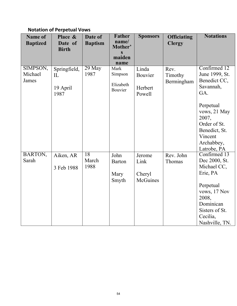# **Notation of Perpetual Vows**

| <b>Name of</b>  | Place &                 | Date of        | <b>Father</b><br>name/ | <b>Sponsors</b> | <b>Officiating</b> | <b>Notations</b>          |
|-----------------|-------------------------|----------------|------------------------|-----------------|--------------------|---------------------------|
| <b>Baptized</b> | Date of<br><b>Birth</b> | <b>Baptism</b> | Mother'                |                 | <b>Clergy</b>      |                           |
|                 |                         |                | $\mathbf S$<br>maiden  |                 |                    |                           |
|                 |                         |                | name                   |                 |                    |                           |
| SIMPSON,        | Springfield,            | $29$ May       | Mark                   | Linda           | Rev.               | Confirmed 12              |
| Michael         | IL                      | 1987           | Simpson                | Bouvier         | Timothy            | June 1999, St.            |
| James           |                         |                | Elizabeth              |                 | Bermingham         | Benedict CC,<br>Savannah, |
|                 | 19 April<br>1987        |                | Bouvier                | Herbert         |                    | GA.                       |
|                 |                         |                |                        | Powell          |                    |                           |
|                 |                         |                |                        |                 |                    | Perpetual                 |
|                 |                         |                |                        |                 |                    | vows, 21 May              |
|                 |                         |                |                        |                 |                    | 2007,                     |
|                 |                         |                |                        |                 |                    | Order of St.              |
|                 |                         |                |                        |                 |                    | Benedict, St.             |
|                 |                         |                |                        |                 |                    | Vincent<br>Archabbey,     |
|                 |                         |                |                        |                 |                    | Latrobe, PA               |
| BARTON,         | Aiken, AR               | 18             | John                   | Jerome          | Rev. John          | Confirmed 13              |
| Sarah           |                         | March          | <b>Barton</b>          | Link            | Thomas             | Dec 2000, St.             |
|                 | 3 Feb 1988              | 1988           |                        |                 |                    | Michael CC,               |
|                 |                         |                | Mary                   | Cheryl          |                    | Erie, PA                  |
|                 |                         |                | Smyth                  | McGuines        |                    |                           |
|                 |                         |                |                        |                 |                    | Perpetual<br>vows, 17 Nov |
|                 |                         |                |                        |                 |                    | 2008,                     |
|                 |                         |                |                        |                 |                    | Dominican                 |
|                 |                         |                |                        |                 |                    | Sisters of St.            |
|                 |                         |                |                        |                 |                    | Cecilia,                  |
|                 |                         |                |                        |                 |                    | Nashville, TN.            |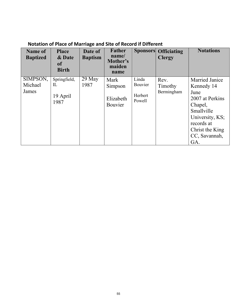# **Notation of Place of Marriage and Site of Record if Different**

| Name of<br><b>Baptized</b>   | <b>Place</b><br>& Date<br><b>of</b><br><b>Birth</b> | Date of<br><b>Baptism</b> | <b>Father</b><br>name/<br>Mother's<br>maiden<br>name |                                       | <b>Sponsors Officiating</b><br><b>Clergy</b> | <b>Notations</b>                                                                                                  |
|------------------------------|-----------------------------------------------------|---------------------------|------------------------------------------------------|---------------------------------------|----------------------------------------------|-------------------------------------------------------------------------------------------------------------------|
| SIMPSON,<br>Michael<br>James | Springfield,<br>$_{\rm IL}$<br>19 April<br>1987     | $29$ May<br>1987          | Mark<br>Simpson<br>Elizabeth<br><b>Bouvier</b>       | Linda<br>Bouvier<br>Herbert<br>Powell | Rev.<br>Timothy<br>Bermingham                | Married Janice<br>Kennedy 14<br>June<br>2007 at Perkins<br>Chapel,<br>Smallville<br>University, KS;<br>records at |
|                              |                                                     |                           |                                                      |                                       |                                              | Christ the King<br>CC, Savannah,<br>GA.                                                                           |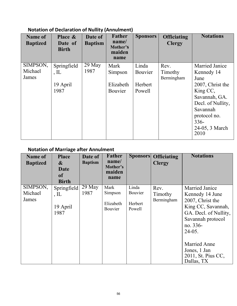# **Notation of Declaration of Nullity (Annulment)**

| Name of<br><b>Baptized</b> | Place &<br>Date of<br><b>Birth</b> | Date of<br><b>Baptism</b> | <b>Father</b><br>name/<br>Mother's<br>maiden<br>name | <b>Sponsors</b> | <b>Officiating</b><br><b>Clergy</b> | <b>Notations</b>                   |
|----------------------------|------------------------------------|---------------------------|------------------------------------------------------|-----------------|-------------------------------------|------------------------------------|
| SIMPSON,<br>Michael        | Springfield                        | $29$ May<br>1987          | Mark                                                 | Linda           | Rev.                                | <b>Married Janice</b>              |
| James                      | $,$ IL                             |                           | Simpson                                              | Bouvier         | Timothy<br>Bermingham               | Kennedy 14<br>June                 |
|                            | 19 April                           |                           | Elizabeth                                            | Herbert         |                                     | 2007, Christ the                   |
|                            | 1987                               |                           | Bouvier                                              | Powell          |                                     | King CC,                           |
|                            |                                    |                           |                                                      |                 |                                     | Savannah, GA.<br>Decl. of Nullity, |
|                            |                                    |                           |                                                      |                 |                                     | Savannah                           |
|                            |                                    |                           |                                                      |                 |                                     | protocol no.                       |
|                            |                                    |                           |                                                      |                 |                                     | $336 -$                            |
|                            |                                    |                           |                                                      |                 |                                     | 24-05, 3 March<br>2010             |

# **Notation of Marriage after Annulment**

| Name of<br><b>Baptized</b>   | <b>Place</b><br>$\boldsymbol{\&}$<br>Date<br><b>of</b><br><b>Birth</b> | Date of<br><b>Baptism</b> | <b>Father</b><br>name/<br>Mother's<br>maiden<br>name | <b>Sponsors</b>                       | <b>Officiating</b><br><b>Clergy</b> | <b>Notations</b>                                                                                                                                                                                                             |
|------------------------------|------------------------------------------------------------------------|---------------------------|------------------------------------------------------|---------------------------------------|-------------------------------------|------------------------------------------------------------------------------------------------------------------------------------------------------------------------------------------------------------------------------|
| SIMPSON,<br>Michael<br>James | Springfield<br>$,$ IL<br>19 April<br>1987                              | $29$ May<br>1987          | Mark<br>Simpson<br>Elizabeth<br>Bouvier              | Linda<br>Bouvier<br>Herbert<br>Powell | Rev.<br>Timothy<br>Bermingham       | Married Janice<br>Kennedy 14 June<br>2007, Christ the<br>King CC, Savannah,<br>GA. Decl. of Nullity,<br>Savannah protocol<br>no. 336-<br>$24-05.$<br><b>Married Anne</b><br>Jones, 1 Jan<br>2011, St. Pius CC,<br>Dallas, TX |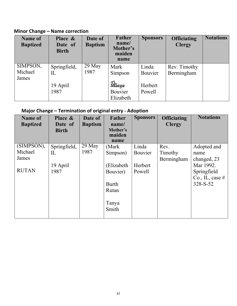**Minor Change – Name correction**

| <b>Name of</b><br><b>Baptized</b> | Place &<br>Date of<br><b>Birth</b> | Date of<br><b>Baptism</b> | <b>Father</b><br>name/<br>Mother's<br>maiden<br>name | <b>Sponsors</b>   | <b>Officiating</b><br><b>Clergy</b> | <b>Notations</b> |
|-----------------------------------|------------------------------------|---------------------------|------------------------------------------------------|-------------------|-------------------------------------|------------------|
| SIMPSON,<br>Michael<br>James      | Springfield,<br>$_{\rm IL}$        | $29$ May<br>1987          | Mark<br>Simpson                                      | Linda<br>Bouvier  | Rev. Timothy<br>Bermingham          |                  |
|                                   | 19 April<br>1987                   |                           | Marge<br>Bouvier<br>Elizabeth                        | Herbert<br>Powell |                                     |                  |

# **Major Change – Termination of original entry - Adoption**

| <b>Name of</b><br><b>Baptized</b> | Place &<br>Date of<br><b>Birth</b> | Date of<br><b>Baptism</b> | <b>Father</b><br>name/<br>Mother's<br>maiden | <b>Sponsors</b> | <b>Officiating</b><br><b>Clergy</b> | <b>Notations</b>  |
|-----------------------------------|------------------------------------|---------------------------|----------------------------------------------|-----------------|-------------------------------------|-------------------|
|                                   |                                    |                           | name                                         |                 |                                     |                   |
| (SIMPSON),                        | Springfield,                       | 29 May                    | (Mark)                                       | Linda           | Rev.                                | Adopted and       |
| Michael                           | IL                                 | 1987                      | Simpson)                                     | Bouvier         | Timothy                             | name              |
| James                             |                                    |                           |                                              |                 | Bermingham                          | changed, 23       |
|                                   | 19 April                           |                           | (Elizabeth                                   | Herbert         |                                     | Mar 1992.         |
| <b>RUTAN</b>                      | 1987                               |                           | Bouvier)                                     | Powell          |                                     | Springfield       |
|                                   |                                    |                           |                                              |                 |                                     | Co., IL, case $#$ |
|                                   |                                    |                           | <b>Burth</b>                                 |                 |                                     | $328-S-52$        |
|                                   |                                    |                           | Rutan                                        |                 |                                     |                   |
|                                   |                                    |                           |                                              |                 |                                     |                   |
|                                   |                                    |                           | Tanya                                        |                 |                                     |                   |
|                                   |                                    |                           | Smith                                        |                 |                                     |                   |
|                                   |                                    |                           |                                              |                 |                                     |                   |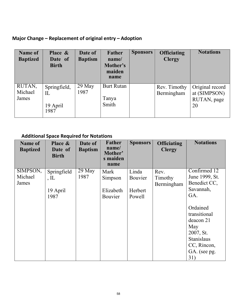# **Major Change – Replacement of original entry – Adoption**

| <b>Name of</b><br><b>Baptized</b> | Place &<br>Date of<br><b>Birth</b>     | Date of<br><b>Baptism</b>   | <b>Father</b><br>name/<br>Mother's<br>maiden<br>name | <b>Sponsors</b> | <b>Officiating</b><br><b>Clergy</b> | <b>Notations</b>                                     |
|-----------------------------------|----------------------------------------|-----------------------------|------------------------------------------------------|-----------------|-------------------------------------|------------------------------------------------------|
| RUTAN,<br>Michael<br>James        | Springfield,<br>IL<br>19 April<br>1987 | $\overline{29}$ May<br>1987 | <b>Burt Rutan</b><br>Tanya<br>Smith                  |                 | Rev. Timothy<br>Bermingham          | Original record<br>at (SIMPSON)<br>RUTAN, page<br>20 |

# **Additional Space Required for Notations**

| <b>Name of</b><br><b>Baptized</b> | Place &<br>Date of<br><b>Birth</b> | Date of<br><b>Baptism</b> | <b>Father</b><br>name/<br>Mother'<br>s maiden<br>name | <b>Sponsors</b> | <b>Officiating</b><br><b>Clergy</b> | <b>Notations</b>                                                                       |
|-----------------------------------|------------------------------------|---------------------------|-------------------------------------------------------|-----------------|-------------------------------------|----------------------------------------------------------------------------------------|
| SIMPSON,<br>Michael               | Springfield                        | 29 May<br>1987            | Mark                                                  | Linda           | Rev.                                | Confirmed 12<br>June 1999, St.                                                         |
| James                             | $,$ IL                             |                           | Simpson                                               | Bouvier         | Timothy<br>Bermingham               | Benedict CC,                                                                           |
|                                   | 19 April                           |                           | Elizabeth                                             | Herbert         |                                     | Savannah,                                                                              |
|                                   | 1987                               |                           | Bouvier                                               | Powell          |                                     | GA.                                                                                    |
|                                   |                                    |                           |                                                       |                 |                                     | Ordained<br>transitional<br>deacon 21<br>May<br>2007, St.<br>Stanislaus<br>CC, Rincon, |
|                                   |                                    |                           |                                                       |                 |                                     | GA. (see pg.<br>31)                                                                    |